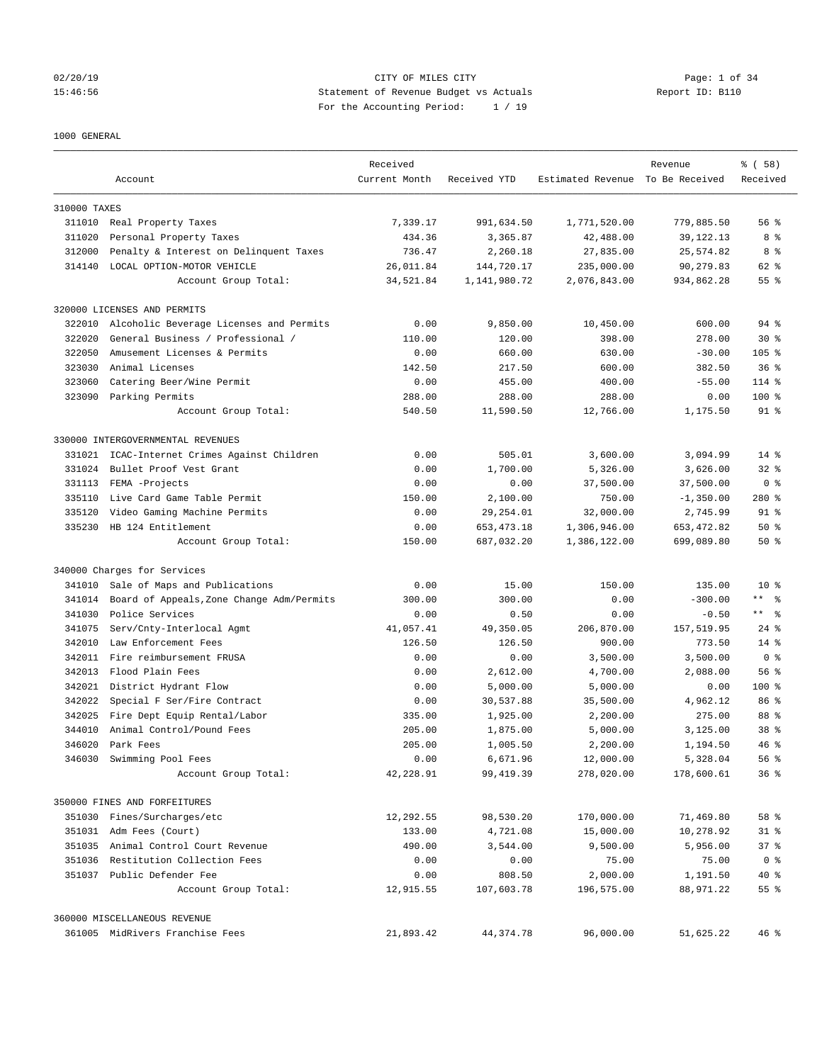# 02/20/19 CITY OF MILES CITY Page: 1 of 34 15:46:56 Statement of Revenue Budget vs Actuals Report ID: B110 For the Accounting Period: 1 / 19

### 1000 GENERAL

|              | Account                                   | Received<br>Current Month | Received YTD | Estimated Revenue To Be Received | Revenue     | % (58)<br>Received |
|--------------|-------------------------------------------|---------------------------|--------------|----------------------------------|-------------|--------------------|
|              |                                           |                           |              |                                  |             |                    |
| 310000 TAXES |                                           |                           |              |                                  |             |                    |
|              | 311010 Real Property Taxes                | 7,339.17                  | 991,634.50   | 1,771,520.00                     | 779,885.50  | 56%                |
| 311020       | Personal Property Taxes                   | 434.36                    | 3,365.87     | 42,488.00                        | 39, 122. 13 | 8 %                |
| 312000       | Penalty & Interest on Delinquent Taxes    | 736.47                    | 2,260.18     | 27,835.00                        | 25,574.82   | 8 %                |
| 314140       | LOCAL OPTION-MOTOR VEHICLE                | 26,011.84                 | 144,720.17   | 235,000.00                       | 90,279.83   | 62 %               |
|              | Account Group Total:                      | 34,521.84                 | 1,141,980.72 | 2,076,843.00                     | 934,862.28  | 55 %               |
|              | 320000 LICENSES AND PERMITS               |                           |              |                                  |             |                    |
| 322010       | Alcoholic Beverage Licenses and Permits   | 0.00                      | 9,850.00     | 10,450.00                        | 600.00      | 94 %               |
| 322020       | General Business / Professional /         | 110.00                    | 120.00       | 398.00                           | 278.00      | $30*$              |
| 322050       | Amusement Licenses & Permits              | 0.00                      | 660.00       | 630.00                           | $-30.00$    | $105$ %            |
| 323030       | Animal Licenses                           | 142.50                    | 217.50       | 600.00                           | 382.50      | 36 <sup>8</sup>    |
| 323060       | Catering Beer/Wine Permit                 | 0.00                      | 455.00       | 400.00                           | $-55.00$    | 114 %              |
| 323090       | Parking Permits                           | 288.00                    | 288.00       | 288.00                           | 0.00        | $100$ %            |
|              | Account Group Total:                      | 540.50                    | 11,590.50    | 12,766.00                        | 1,175.50    | 91 %               |
|              | 330000 INTERGOVERNMENTAL REVENUES         |                           |              |                                  |             |                    |
| 331021       | ICAC-Internet Crimes Against Children     | 0.00                      | 505.01       | 3,600.00                         | 3,094.99    | $14*$              |
| 331024       | Bullet Proof Vest Grant                   | 0.00                      | 1,700.00     | 5,326.00                         | 3,626.00    | $32*$              |
| 331113       | FEMA -Projects                            | 0.00                      | 0.00         | 37,500.00                        | 37,500.00   | 0 <sup>8</sup>     |
| 335110       | Live Card Game Table Permit               | 150.00                    | 2,100.00     | 750.00                           | $-1,350.00$ | 280%               |
| 335120       | Video Gaming Machine Permits              | 0.00                      | 29, 254.01   | 32,000.00                        | 2,745.99    | 91 %               |
|              | 335230 HB 124 Entitlement                 | 0.00                      | 653, 473. 18 | 1,306,946.00                     | 653, 472.82 | 50%                |
|              | Account Group Total:                      | 150.00                    | 687,032.20   | 1,386,122.00                     | 699,089.80  | 50%                |
|              | 340000 Charges for Services               |                           |              |                                  |             |                    |
| 341010       | Sale of Maps and Publications             | 0.00                      | 15.00        | 150.00                           | 135.00      | $10*$              |
| 341014       | Board of Appeals, Zone Change Adm/Permits | 300.00                    | 300.00       | 0.00                             | $-300.00$   | ** 왕               |
| 341030       | Police Services                           | 0.00                      | 0.50         | 0.00                             | $-0.50$     | $***$ $ -$         |
| 341075       | Serv/Cnty-Interlocal Agmt                 | 41,057.41                 | 49,350.05    | 206,870.00                       | 157,519.95  | $24$ %             |
| 342010       | Law Enforcement Fees                      | 126.50                    | 126.50       | 900.00                           | 773.50      | $14*$              |
|              | 342011 Fire reimbursement FRUSA           | 0.00                      | 0.00         | 3,500.00                         | 3,500.00    | 0 <sup>8</sup>     |
| 342013       | Flood Plain Fees                          | 0.00                      | 2,612.00     | 4,700.00                         | 2,088.00    | 56%                |
| 342021       | District Hydrant Flow                     | 0.00                      | 5,000.00     | 5,000.00                         | 0.00        | $100$ %            |
| 342022       | Special F Ser/Fire Contract               | 0.00                      | 30,537.88    | 35,500.00                        | 4,962.12    | 86 %               |
| 342025       | Fire Dept Equip Rental/Labor              | 335.00                    | 1,925.00     | 2,200.00                         | 275.00      | 88 %               |
| 344010       | Animal Control/Pound Fees                 | 205.00                    | 1,875.00     | 5,000.00                         | 3,125.00    | 38 %               |
| 346020       | Park Fees                                 | 205.00                    | 1,005.50     | 2,200.00                         | 1,194.50    | 46%                |
| 346030       | Swimming Pool Fees                        | 0.00                      | 6,671.96     | 12,000.00                        | 5,328.04    | 56%                |
|              | Account Group Total:                      | 42,228.91                 | 99,419.39    | 278,020.00                       | 178,600.61  | 36%                |
|              | 350000 FINES AND FORFEITURES              |                           |              |                                  |             |                    |
| 351030       |                                           |                           |              |                                  |             | 58 %               |
|              | Fines/Surcharges/etc                      | 12,292.55                 | 98,530.20    | 170,000.00                       | 71,469.80   |                    |
|              | 351031 Adm Fees (Court)                   | 133.00                    | 4,721.08     | 15,000.00                        | 10,278.92   | $31$ %             |
| 351035       | Animal Control Court Revenue              | 490.00                    | 3,544.00     | 9,500.00                         | 5,956.00    | 37 %               |
| 351036       | Restitution Collection Fees               | 0.00                      | 0.00         | 75.00                            | 75.00       | 0 <sup>8</sup>     |
|              | 351037 Public Defender Fee                | 0.00                      | 808.50       | 2,000.00                         | 1,191.50    | 40 %               |
|              | Account Group Total:                      | 12,915.55                 | 107,603.78   | 196,575.00                       | 88,971.22   | 55 %               |
|              | 360000 MISCELLANEOUS REVENUE              |                           |              |                                  |             |                    |
|              | 361005 MidRivers Franchise Fees           | 21,893.42                 | 44,374.78    | 96,000.00                        | 51,625.22   | 46%                |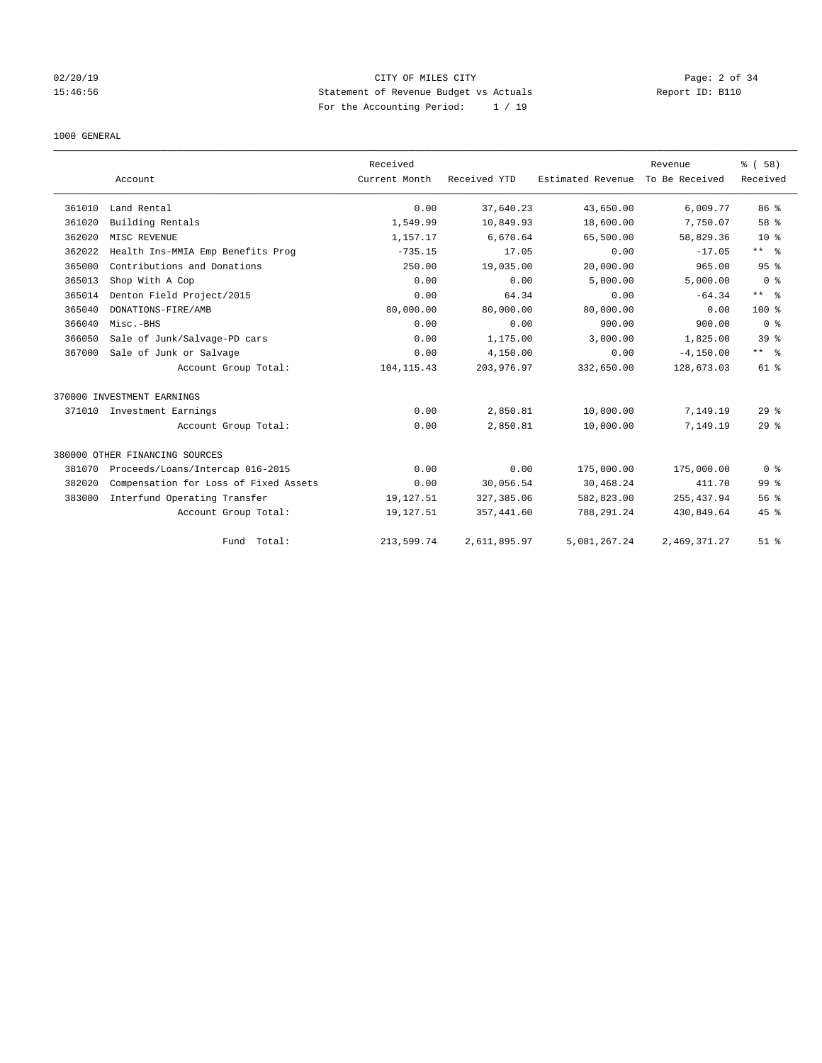# 02/20/19 CITY OF MILES CITY Page: 2 of 34 15:46:56 Statement of Revenue Budget vs Actuals Report ID: B110 For the Accounting Period: 1 / 19

### 1000 GENERAL

|        |                                       | Received      |              |                   | Revenue        | % (58)              |
|--------|---------------------------------------|---------------|--------------|-------------------|----------------|---------------------|
|        | Account                               | Current Month | Received YTD | Estimated Revenue | To Be Received | Received            |
| 361010 | Land Rental                           | 0.00          | 37,640.23    | 43,650.00         | 6,009.77       | 86 <sup>8</sup>     |
| 361020 | Building Rentals                      | 1,549.99      | 10,849.93    | 18,600.00         | 7,750.07       | 58 %                |
| 362020 | MISC REVENUE                          | 1,157.17      | 6,670.64     | 65,500.00         | 58,829.36      | $10*$               |
| 362022 | Health Ins-MMIA Emp Benefits Prog     | $-735.15$     | 17.05        | 0.00              | $-17.05$       | $***$ $-$           |
| 365000 | Contributions and Donations           | 250.00        | 19,035.00    | 20,000.00         | 965.00         | 95%                 |
| 365013 | Shop With A Cop                       | 0.00          | 0.00         | 5,000.00          | 5,000.00       | 0 <sup>8</sup>      |
| 365014 | Denton Field Project/2015             | 0.00          | 64.34        | 0.00              | $-64.34$       | $***$ $\frac{6}{5}$ |
| 365040 | DONATIONS-FIRE/AMB                    | 80,000.00     | 80,000.00    | 80,000.00         | 0.00           | 100 <sub>8</sub>    |
| 366040 | Misc.-BHS                             | 0.00          | 0.00         | 900.00            | 900.00         | 0 <sup>8</sup>      |
| 366050 | Sale of Junk/Salvage-PD cars          | 0.00          | 1,175.00     | 3,000.00          | 1,825.00       | 39 <sup>8</sup>     |
| 367000 | Sale of Junk or Salvage               | 0.00          | 4,150.00     | 0.00              | $-4, 150.00$   | ** %                |
|        | Account Group Total:                  | 104, 115.43   | 203,976.97   | 332,650.00        | 128,673.03     | 61 %                |
|        | 370000 INVESTMENT EARNINGS            |               |              |                   |                |                     |
| 371010 | Investment Earnings                   | 0.00          | 2,850.81     | 10,000.00         | 7,149.19       | $29*$               |
|        | Account Group Total:                  | 0.00          | 2,850.81     | 10,000.00         | 7,149.19       | 29 <sup>8</sup>     |
|        | 380000 OTHER FINANCING SOURCES        |               |              |                   |                |                     |
| 381070 | Proceeds/Loans/Intercap 016-2015      | 0.00          | 0.00         | 175,000.00        | 175,000.00     | 0 <sup>8</sup>      |
| 382020 | Compensation for Loss of Fixed Assets | 0.00          | 30,056.54    | 30,468.24         | 411.70         | 99 <sup>8</sup>     |
| 383000 | Interfund Operating Transfer          | 19,127.51     | 327, 385.06  | 582,823.00        | 255, 437.94    | 56 <sup>8</sup>     |
|        | Account Group Total:                  | 19,127.51     | 357, 441.60  | 788, 291.24       | 430,849.64     | $45$ %              |
|        | Fund Total:                           | 213,599.74    | 2,611,895.97 | 5,081,267.24      | 2,469,371.27   | $51$ %              |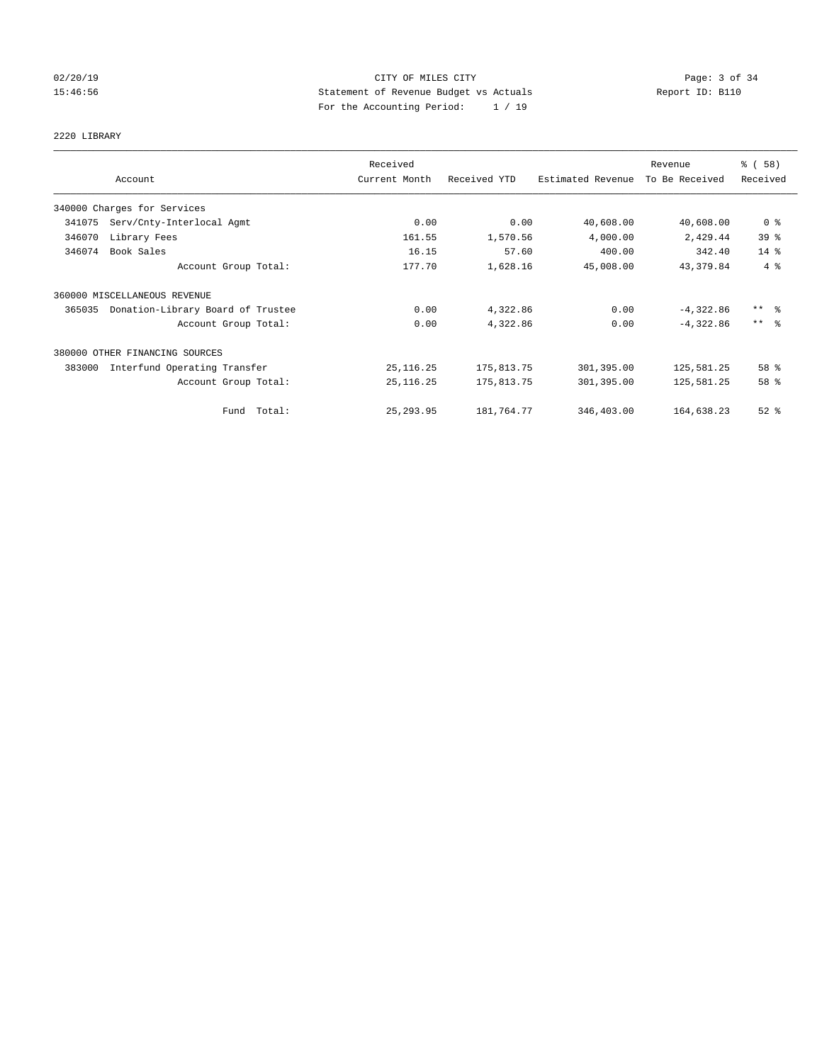# 02/20/19 CITY OF MILES CITY Page: 3 of 34 15:46:56 Statement of Revenue Budget vs Actuals Report ID: B110 For the Accounting Period: 1 / 19

# 2220 LIBRARY

|        |                                   | Received      |              |                   | Revenue        | % (58)                  |
|--------|-----------------------------------|---------------|--------------|-------------------|----------------|-------------------------|
|        | Account                           | Current Month | Received YTD | Estimated Revenue | To Be Received | Received                |
|        | 340000 Charges for Services       |               |              |                   |                |                         |
| 341075 | Serv/Cnty-Interlocal Agmt         | 0.00          | 0.00         | 40,608.00         | 40,608.00      | 0 <sup>8</sup>          |
| 346070 | Library Fees                      | 161.55        | 1,570.56     | 4,000.00          | 2,429.44       | 39 <sup>8</sup>         |
| 346074 | Book Sales                        | 16.15         | 57.60        | 400.00            | 342.40         | 14.8                    |
|        | Account Group Total:              | 177.70        | 1,628.16     | 45,008.00         | 43, 379.84     | 4%                      |
|        | 360000 MISCELLANEOUS REVENUE      |               |              |                   |                |                         |
| 365035 | Donation-Library Board of Trustee | 0.00          | 4,322.86     | 0.00              | $-4,322.86$    | $***$ $=$ $\frac{6}{5}$ |
|        | Account Group Total:              | 0.00          | 4,322.86     | 0.00              | $-4,322.86$    | $***$ $\approx$         |
|        | 380000 OTHER FINANCING SOURCES    |               |              |                   |                |                         |
| 383000 | Interfund Operating Transfer      | 25, 116.25    | 175,813.75   | 301,395.00        | 125,581.25     | 58 %                    |
|        | Account Group Total:              | 25, 116.25    | 175,813.75   | 301,395.00        | 125,581.25     | 58 %                    |
|        | Fund Total:                       | 25, 293.95    | 181,764.77   | 346,403.00        | 164,638.23     | $52$ $%$                |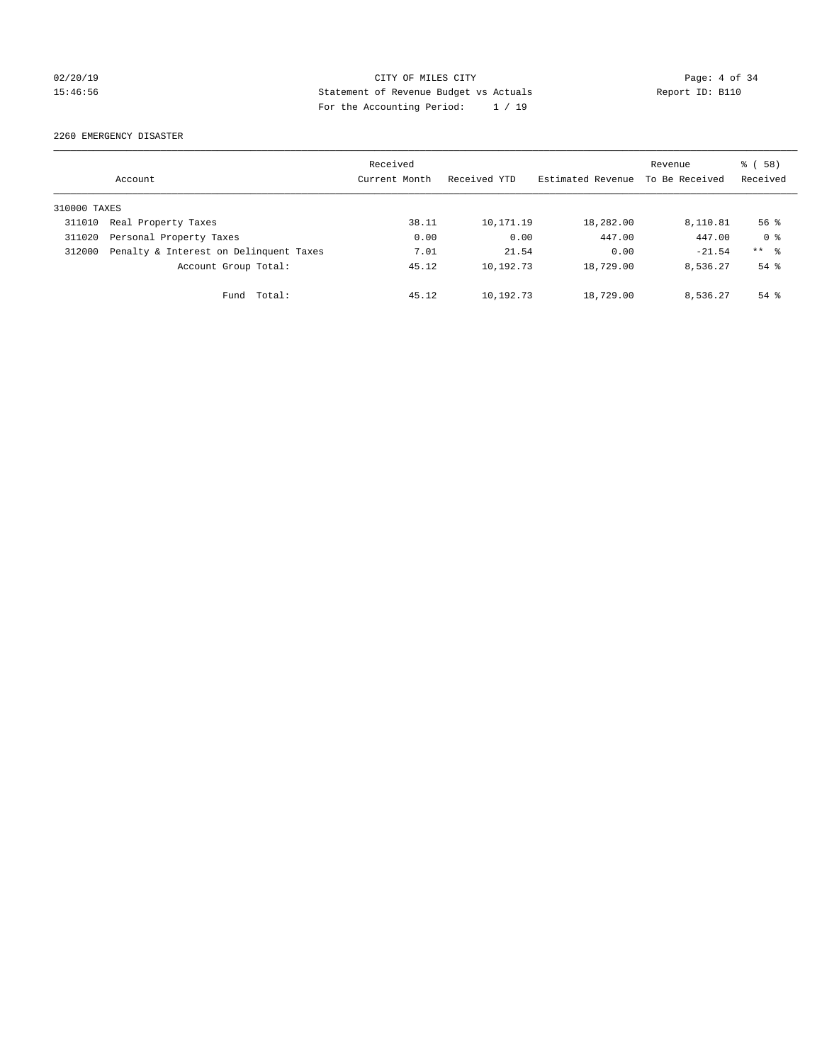# 02/20/19 CITY OF MILES CITY Page: 4 of 34 15:46:56 Statement of Revenue Budget vs Actuals Report ID: B110 For the Accounting Period: 1 / 19

2260 EMERGENCY DISASTER

|              | Account                                | Received<br>Current Month | Received YTD | Estimated Revenue | Revenue<br>To Be Received | 8 ( 58 )<br>Received |
|--------------|----------------------------------------|---------------------------|--------------|-------------------|---------------------------|----------------------|
| 310000 TAXES |                                        |                           |              |                   |                           |                      |
| 311010       | Real Property Taxes                    | 38.11                     | 10,171.19    | 18,282.00         | 8,110.81                  | $56$ $\frac{6}{3}$   |
| 311020       | Personal Property Taxes                | 0.00                      | 0.00         | 447.00            | 447.00                    | 0 <sup>8</sup>       |
| 312000       | Penalty & Interest on Delinquent Taxes | 7.01                      | 21.54        | 0.00              | $-21.54$                  | $***$ %              |
|              | Account Group Total:                   | 45.12                     | 10,192.73    | 18,729.00         | 8,536.27                  | $54$ $\frac{6}{3}$   |
|              | Fund Total:                            | 45.12                     | 10,192.73    | 18,729.00         | 8,536.27                  | $54$ $%$             |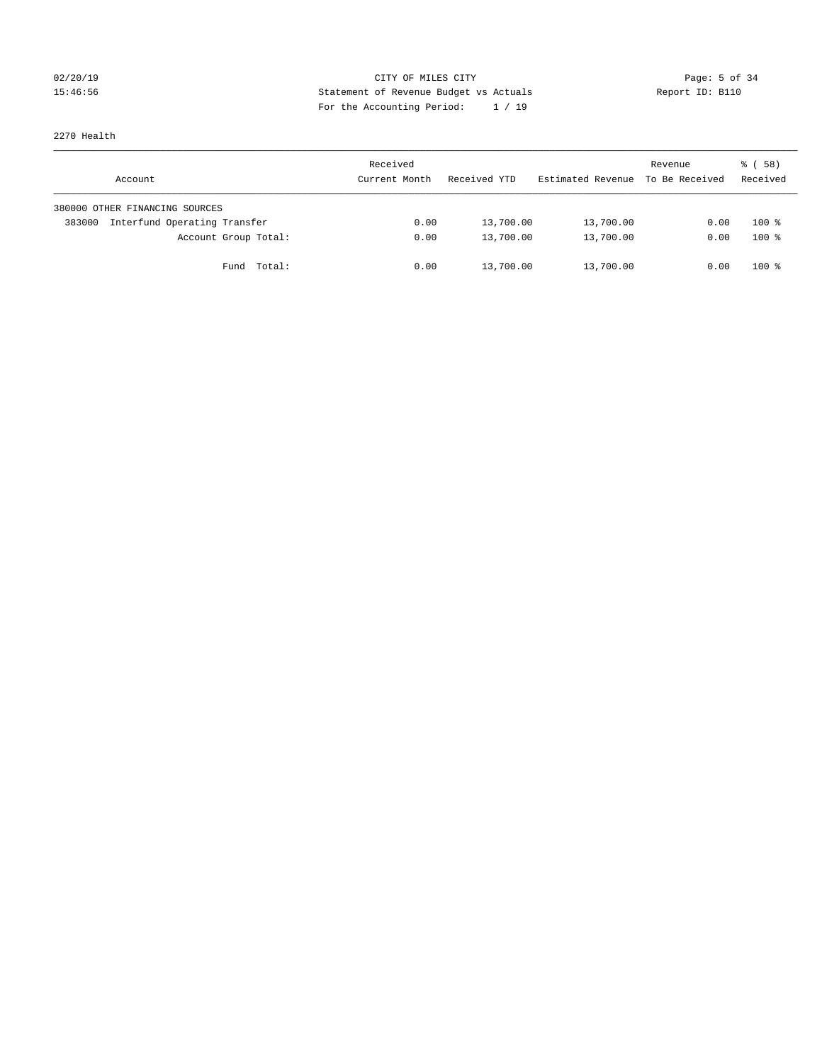# 02/20/19 **Page: 5 of 34 CITY OF MILES CITY CITY Page: 5 of 34** 15:46:56 Statement of Revenue Budget vs Actuals Report ID: B110 For the Accounting Period: 1 / 19

2270 Health

| Account                                | Received<br>Current Month | Received YTD | Estimated Revenue | Revenue<br>To Be Received | 8 ( 58 )<br>Received |
|----------------------------------------|---------------------------|--------------|-------------------|---------------------------|----------------------|
| 380000 OTHER FINANCING SOURCES         |                           |              |                   |                           |                      |
| Interfund Operating Transfer<br>383000 | 0.00                      | 13,700.00    | 13,700.00         | 0.00                      | $100*$               |
| Account Group Total:                   | 0.00                      | 13,700.00    | 13,700.00         | 0.00                      | $100*$               |
| Total:<br>Fund                         | 0.00                      | 13,700.00    | 13,700.00         | 0.00                      | $100*$               |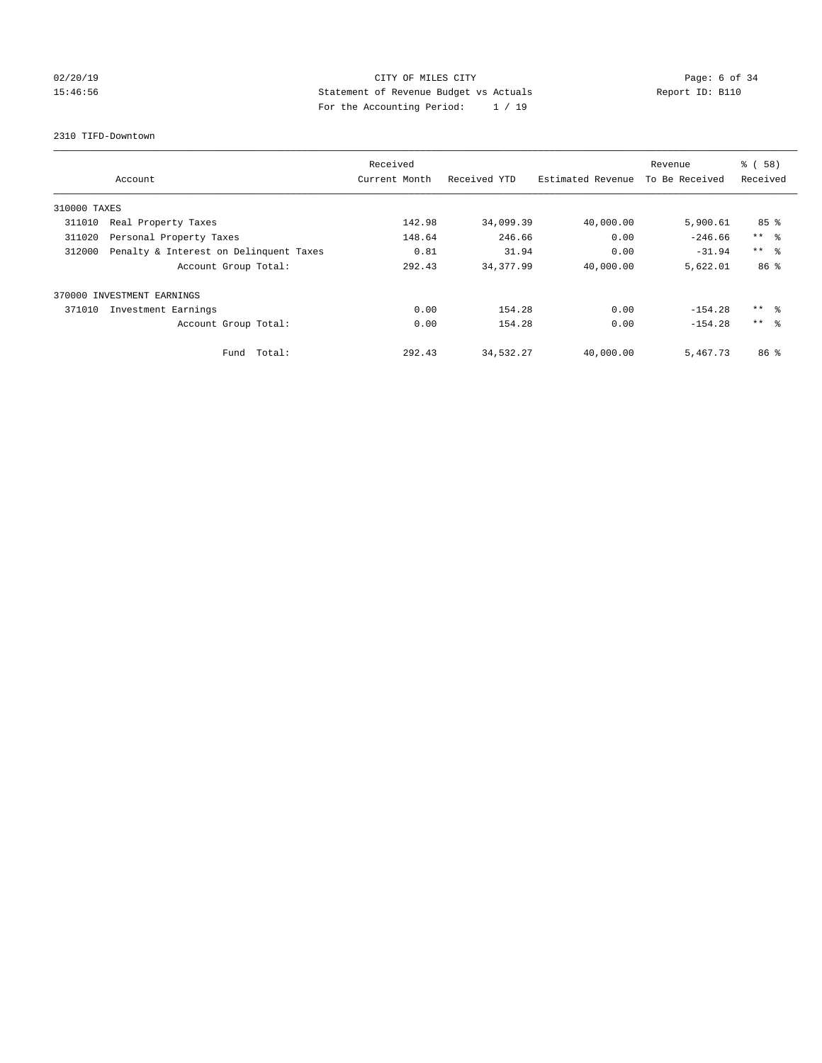# 02/20/19 CITY OF MILES CITY Page: 6 of 34 15:46:56 Statement of Revenue Budget vs Actuals Report ID: B110 For the Accounting Period: 1 / 19

### 2310 TIFD-Downtown

|              |                                        | Received      |              |                   | Revenue        | % (58)              |
|--------------|----------------------------------------|---------------|--------------|-------------------|----------------|---------------------|
|              | Account                                | Current Month | Received YTD | Estimated Revenue | To Be Received | Received            |
| 310000 TAXES |                                        |               |              |                   |                |                     |
| 311010       | Real Property Taxes                    | 142.98        | 34,099.39    | 40,000.00         | 5,900.61       | $85$ %              |
| 311020       | Personal Property Taxes                | 148.64        | 246.66       | 0.00              | $-246.66$      | $***$ $ -$          |
| 312000       | Penalty & Interest on Delinquent Taxes | 0.81          | 31.94        | 0.00              | $-31.94$       | $***$ $\approx$     |
|              | Account Group Total:                   | 292.43        | 34, 377.99   | 40,000.00         | 5,622.01       | 86 %                |
|              | 370000 INVESTMENT EARNINGS             |               |              |                   |                |                     |
| 371010       | Investment Earnings                    | 0.00          | 154.28       | 0.00              | $-154.28$      | $***$ $\frac{6}{3}$ |
|              | Account Group Total:                   | 0.00          | 154.28       | 0.00              | $-154.28$      | $***$ $\approx$     |
|              | Total:<br>Fund                         | 292.43        | 34,532.27    | 40,000.00         | 5,467.73       | 86 <sup>8</sup>     |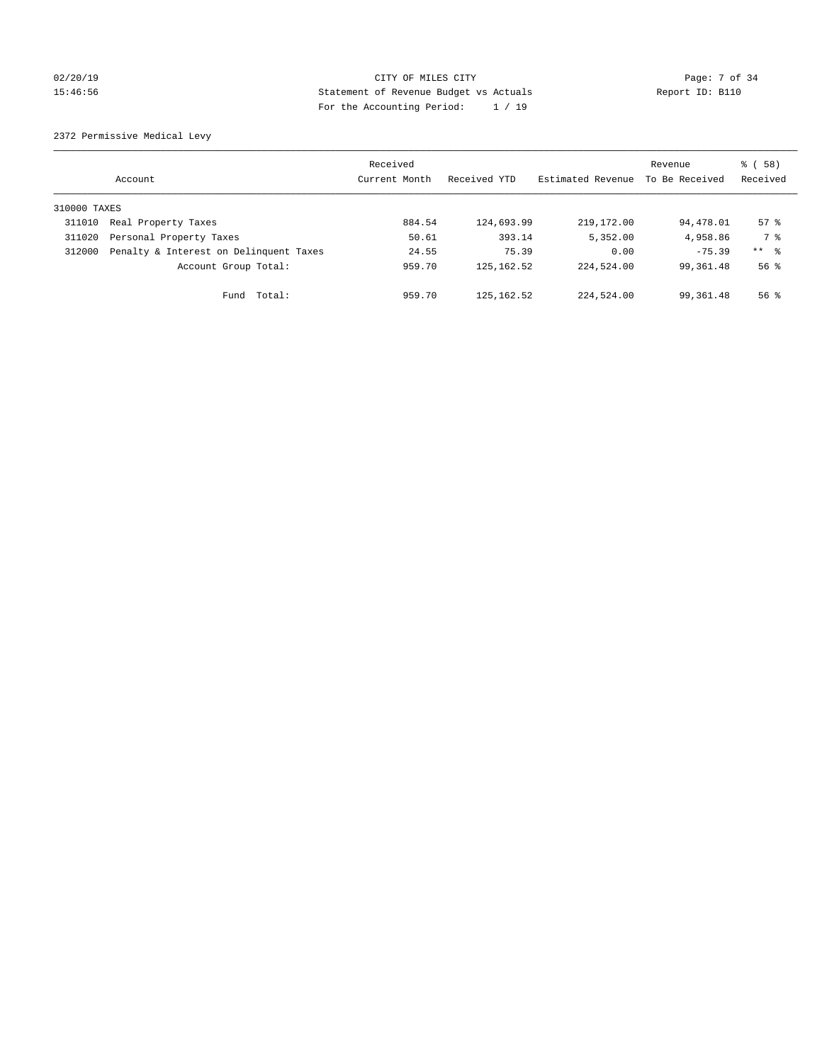# 02/20/19 CITY OF MILES CITY Page: 7 of 34 15:46:56 Statement of Revenue Budget vs Actuals Report ID: B110 For the Accounting Period: 1 / 19

2372 Permissive Medical Levy

|              | Account                                | Received<br>Current Month | Received YTD | Estimated Revenue | Revenue<br>To Be Received | 8 ( 58 )<br>Received |
|--------------|----------------------------------------|---------------------------|--------------|-------------------|---------------------------|----------------------|
| 310000 TAXES |                                        |                           |              |                   |                           |                      |
| 311010       | Real Property Taxes                    | 884.54                    | 124,693.99   | 219,172.00        | 94,478.01                 | $57$ $\frac{6}{3}$   |
| 311020       | Personal Property Taxes                | 50.61                     | 393.14       | 5,352.00          | 4,958.86                  | 7 %                  |
| 312000       | Penalty & Interest on Delinquent Taxes | 24.55                     | 75.39        | 0.00              | $-75.39$                  | ** 8                 |
|              | Account Group Total:                   | 959.70                    | 125, 162.52  | 224,524.00        | 99, 361, 48               | 56 <sup>8</sup>      |
|              | Fund Total:                            | 959.70                    | 125,162.52   | 224,524.00        | 99,361.48                 | $56$ $\frac{6}{3}$   |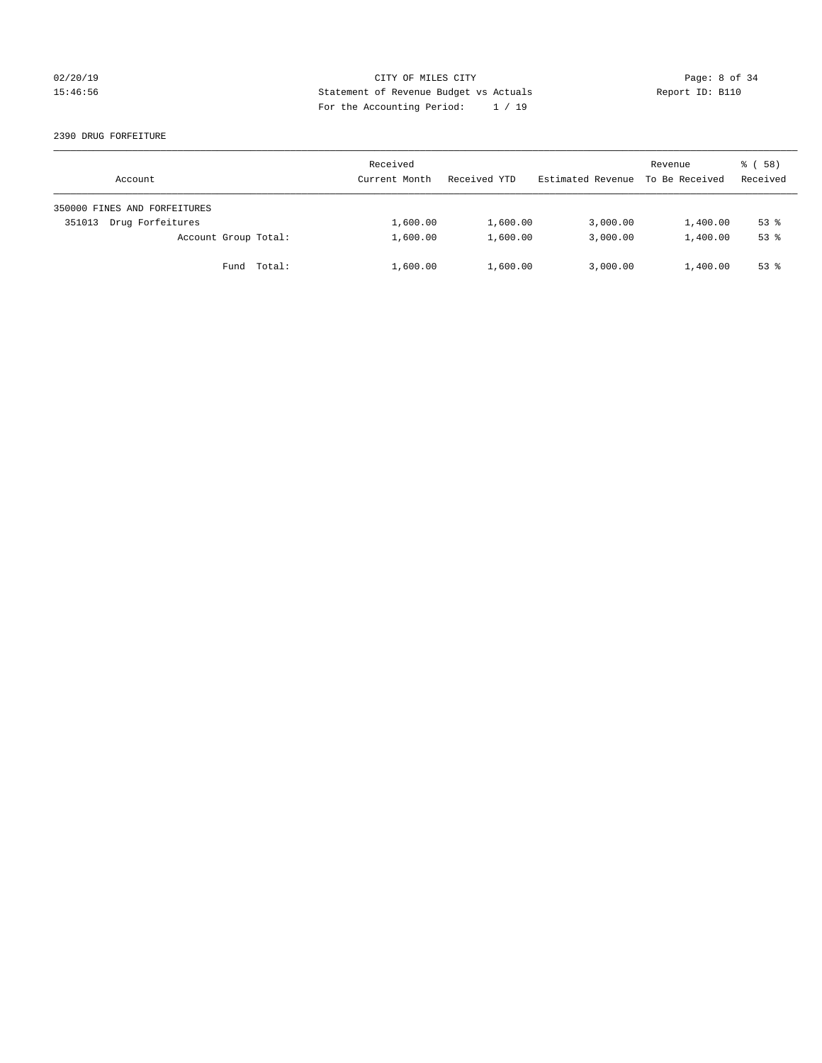# 02/20/19 CITY OF MILES CITY Page: 8 of 34 15:46:56 Statement of Revenue Budget vs Actuals Report ID: B110 For the Accounting Period: 1 / 19

### 2390 DRUG FORFEITURE

| Account                      | Received<br>Current Month | Received YTD | Estimated Revenue | Revenue<br>To Be Received | 8 ( 58 )<br>Received |
|------------------------------|---------------------------|--------------|-------------------|---------------------------|----------------------|
| 350000 FINES AND FORFEITURES |                           |              |                   |                           |                      |
| Drug Forfeitures<br>351013   | 1,600.00                  | 1,600.00     | 3,000.00          | 1,400.00                  | $53$ $%$             |
| Account Group Total:         | 1,600.00                  | 1,600.00     | 3,000.00          | 1,400.00                  | $53$ $%$             |
| Fund Total:                  | 1,600.00                  | 1,600.00     | 3,000.00          | 1,400.00                  | $53*$                |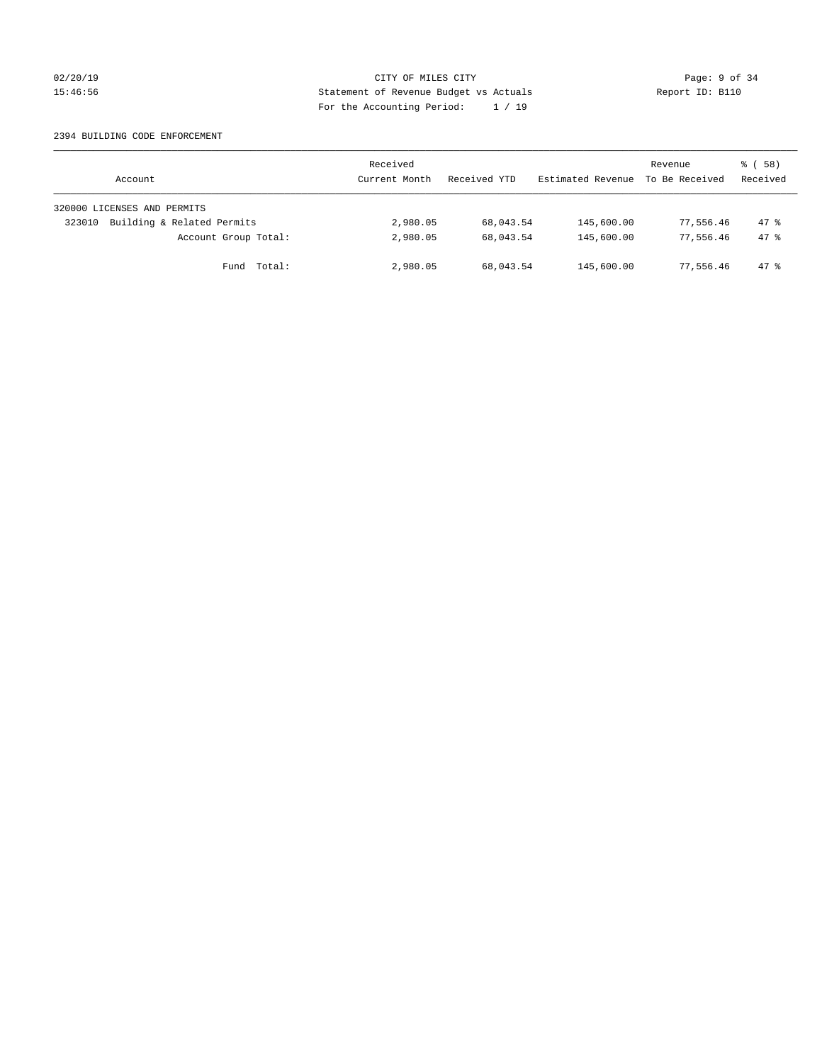# 02/20/19 CITY OF MILES CITY Page: 9 of 34 15:46:56 Statement of Revenue Budget vs Actuals Report ID: B110 For the Accounting Period: 1 / 19

### 2394 BUILDING CODE ENFORCEMENT

| Account                              | Received<br>Current Month | Received YTD | Estimated Revenue | Revenue<br>To Be Received | 8 ( 58 )<br>Received |
|--------------------------------------|---------------------------|--------------|-------------------|---------------------------|----------------------|
| 320000 LICENSES AND PERMITS          |                           |              |                   |                           |                      |
| Building & Related Permits<br>323010 | 2,980.05                  | 68,043.54    | 145,600.00        | 77,556.46                 | 47.8                 |
| Account Group Total:                 | 2,980.05                  | 68,043.54    | 145,600.00        | 77,556.46                 | $47*$                |
| Fund Total:                          | 2,980.05                  | 68,043.54    | 145,600.00        | 77,556.46                 | $47*$                |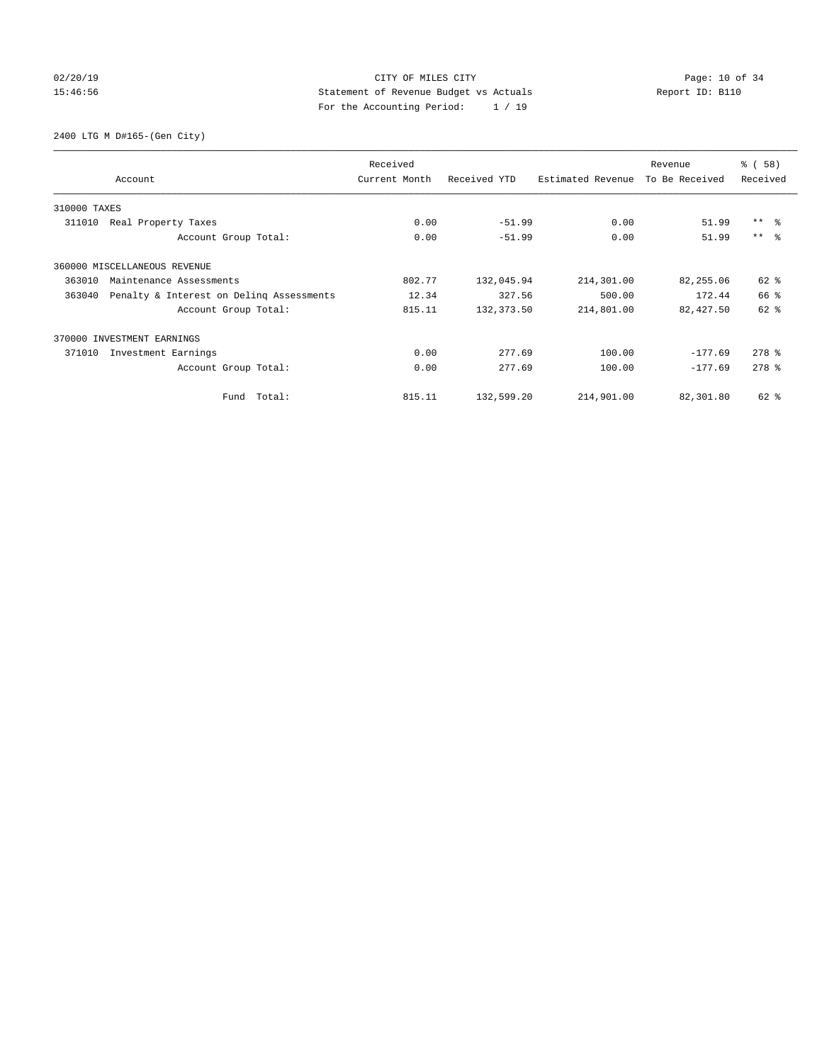# 02/20/19 **Page: 10 of 34** CITY OF MILES CITY **Page: 10 of 34** 15:46:56 Statement of Revenue Budget vs Actuals Report ID: B110 For the Accounting Period: 1 / 19

2400 LTG M D#165-(Gen City)

|              | Account                                  | Received<br>Current Month | Received YTD | Estimated Revenue | Revenue<br>To Be Received | % (58)<br>Received |
|--------------|------------------------------------------|---------------------------|--------------|-------------------|---------------------------|--------------------|
| 310000 TAXES |                                          |                           |              |                   |                           |                    |
| 311010       | Real Property Taxes                      | 0.00                      | $-51.99$     | 0.00              | 51.99                     | $***$ $ -$         |
|              | Account Group Total:                     | 0.00                      | $-51.99$     | 0.00              | 51.99                     | $***$ $ -$         |
|              | 360000 MISCELLANEOUS REVENUE             |                           |              |                   |                           |                    |
| 363010       | Maintenance Assessments                  | 802.77                    | 132,045.94   | 214,301.00        | 82,255.06                 | 62 %               |
| 363040       | Penalty & Interest on Deling Assessments | 12.34                     | 327.56       | 500.00            | 172.44                    | 66 %               |
|              | Account Group Total:                     | 815.11                    | 132, 373.50  | 214,801.00        | 82,427.50                 | $62$ $%$           |
|              | 370000 INVESTMENT EARNINGS               |                           |              |                   |                           |                    |
| 371010       | Investment Earnings                      | 0.00                      | 277.69       | 100.00            | $-177.69$                 | $278$ $%$          |
|              | Account Group Total:                     | 0.00                      | 277.69       | 100.00            | $-177.69$                 | $278$ $%$          |
|              | Total:<br>Fund                           | 815.11                    | 132,599.20   | 214,901.00        | 82,301.80                 | 62 %               |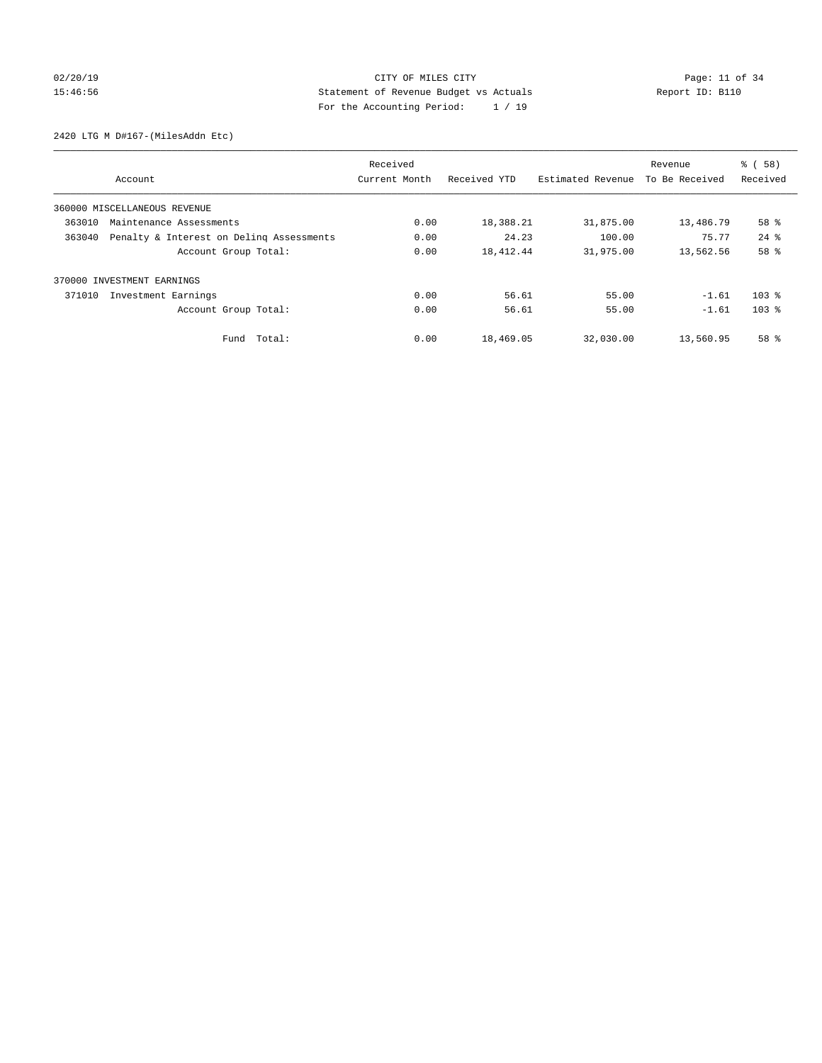# 02/20/19 **Page: 11 of 34** CITY OF MILES CITY **Page: 11 of 34** 15:46:56 Statement of Revenue Budget vs Actuals Report ID: B110 For the Accounting Period: 1 / 19

2420 LTG M D#167-(MilesAddn Etc)

|                                                    | Received      |              |                   | Revenue        | % (58)    |
|----------------------------------------------------|---------------|--------------|-------------------|----------------|-----------|
| Account                                            | Current Month | Received YTD | Estimated Revenue | To Be Received | Received  |
| 360000 MISCELLANEOUS REVENUE                       |               |              |                   |                |           |
| 363010<br>Maintenance Assessments                  | 0.00          | 18,388.21    | 31,875.00         | 13,486.79      | 58 %      |
| Penalty & Interest on Deling Assessments<br>363040 | 0.00          | 24.23        | 100.00            | 75.77          | $24$ $%$  |
| Account Group Total:                               | 0.00          | 18, 412. 44  | 31,975.00         | 13,562.56      | 58 %      |
| 370000 INVESTMENT EARNINGS                         |               |              |                   |                |           |
| 371010<br>Investment Earnings                      | 0.00          | 56.61        | 55.00             | $-1.61$        | $103$ $%$ |
| Account Group Total:                               | 0.00          | 56.61        | 55.00             | $-1.61$        | $103$ %   |
| Total:<br>Fund                                     | 0.00          | 18,469.05    | 32,030.00         | 13,560.95      | 58 %      |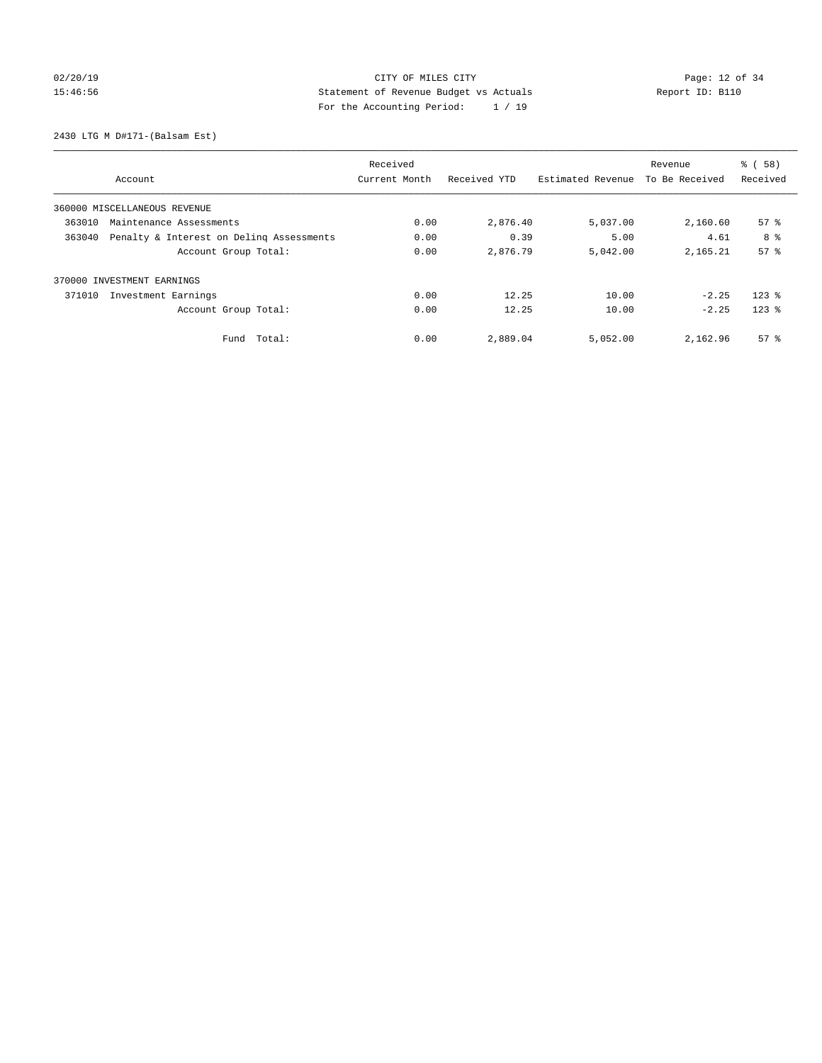# 02/20/19 **Page: 12 of 34** CITY OF MILES CITY **Page: 12 of 34** 15:46:56 Statement of Revenue Budget vs Actuals Report ID: B110 For the Accounting Period: 1 / 19

2430 LTG M D#171-(Balsam Est)

|                                                    | Received      |              |                   | Revenue        | % (58)             |
|----------------------------------------------------|---------------|--------------|-------------------|----------------|--------------------|
| Account                                            | Current Month | Received YTD | Estimated Revenue | To Be Received | Received           |
| 360000 MISCELLANEOUS REVENUE                       |               |              |                   |                |                    |
| 363010<br>Maintenance Assessments                  | 0.00          | 2,876.40     | 5,037.00          | 2,160.60       | $57*$              |
| Penalty & Interest on Deling Assessments<br>363040 | 0.00          | 0.39         | 5.00              | 4.61           | 8 %                |
| Account Group Total:                               | 0.00          | 2,876.79     | 5,042.00          | 2, 165.21      | 57 <sup>8</sup>    |
| 370000 INVESTMENT EARNINGS                         |               |              |                   |                |                    |
| 371010<br>Investment Earnings                      | 0.00          | 12.25        | 10.00             | $-2.25$        | $123$ $%$          |
| Account Group Total:                               | 0.00          | 12.25        | 10.00             | $-2.25$        | $123$ $%$          |
| Total:<br>Fund                                     | 0.00          | 2,889.04     | 5,052.00          | 2,162.96       | $57$ $\frac{6}{3}$ |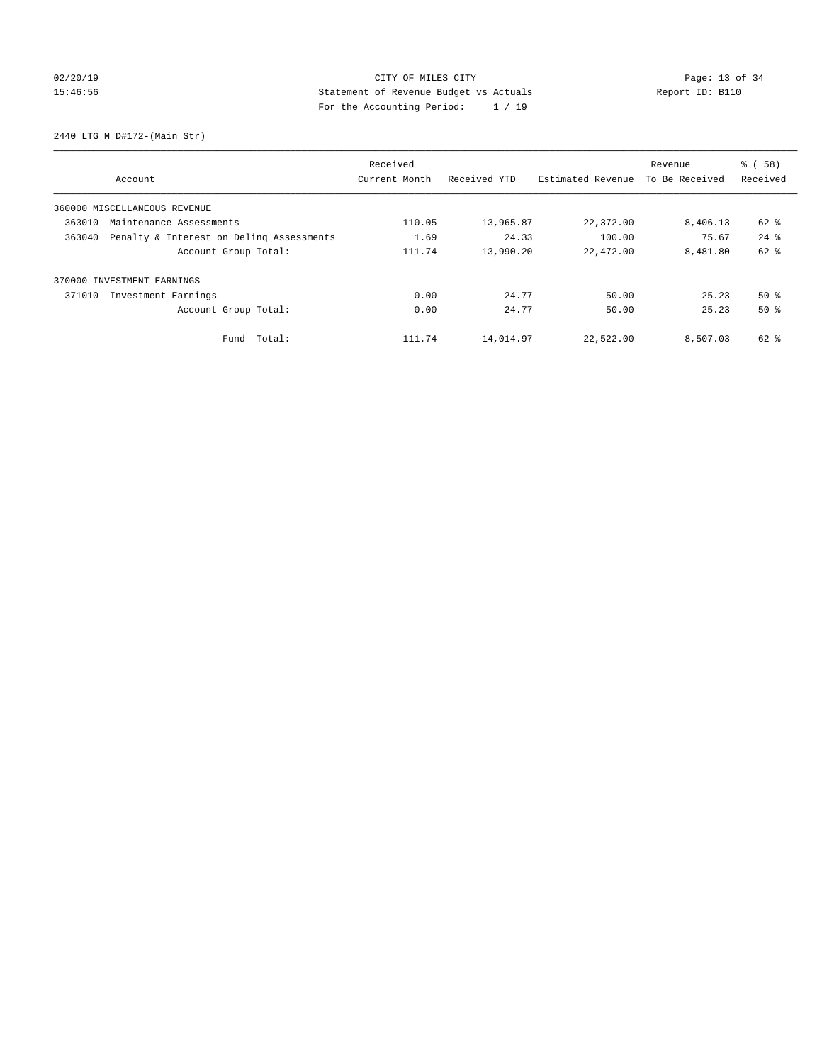# 02/20/19 **Page: 13 of 34** CITY OF MILES CITY **Page: 13 of 34** 15:46:56 Statement of Revenue Budget vs Actuals Report ID: B110 For the Accounting Period: 1 / 19

2440 LTG M D#172-(Main Str)

|        |                                          | Received      |              |                   | Revenue        | % (58)   |
|--------|------------------------------------------|---------------|--------------|-------------------|----------------|----------|
|        | Account                                  | Current Month | Received YTD | Estimated Revenue | To Be Received | Received |
|        | 360000 MISCELLANEOUS REVENUE             |               |              |                   |                |          |
| 363010 | Maintenance Assessments                  | 110.05        | 13,965.87    | 22,372.00         | 8,406.13       | 62 %     |
| 363040 | Penalty & Interest on Deling Assessments | 1.69          | 24.33        | 100.00            | 75.67          | $24$ $%$ |
|        | Account Group Total:                     | 111.74        | 13,990.20    | 22,472.00         | 8,481.80       | $62$ $%$ |
|        | 370000 INVESTMENT EARNINGS               |               |              |                   |                |          |
| 371010 | Investment Earnings                      | 0.00          | 24.77        | 50.00             | 25.23          | $50*$    |
|        | Account Group Total:                     | 0.00          | 24.77        | 50.00             | 25.23          | $50*$    |
|        | Fund Total:                              | 111.74        | 14,014.97    | 22,522.00         | 8,507.03       | 62 %     |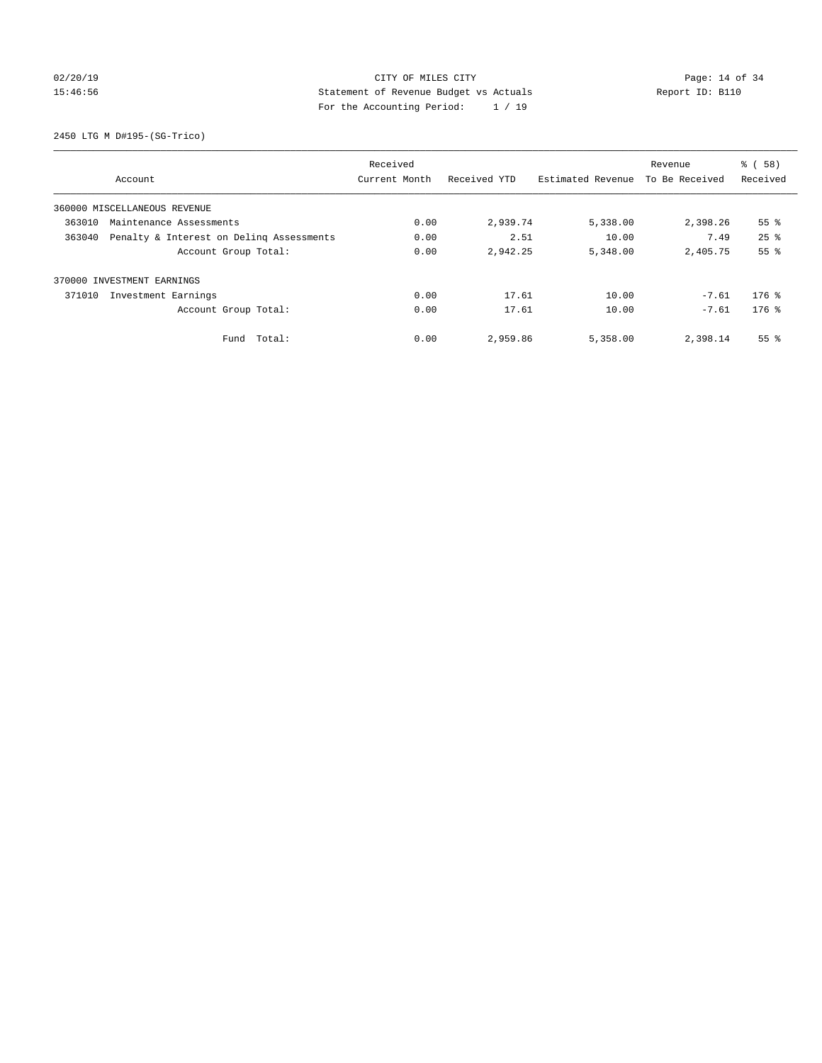# 02/20/19 **Page: 14 of 34** CITY OF MILES CITY **Page: 14 of 34** 15:46:56 Statement of Revenue Budget vs Actuals Report ID: B110 For the Accounting Period: 1 / 19

2450 LTG M D#195-(SG-Trico)

|        |                                          | Received      |              |                   | Revenue        | % (58)          |
|--------|------------------------------------------|---------------|--------------|-------------------|----------------|-----------------|
|        | Account                                  | Current Month | Received YTD | Estimated Revenue | To Be Received | Received        |
|        | 360000 MISCELLANEOUS REVENUE             |               |              |                   |                |                 |
| 363010 | Maintenance Assessments                  | 0.00          | 2,939.74     | 5,338.00          | 2,398.26       | 55 <sup>8</sup> |
| 363040 | Penalty & Interest on Deling Assessments | 0.00          | 2.51         | 10.00             | 7.49           | $25$ $%$        |
|        | Account Group Total:                     | 0.00          | 2,942.25     | 5,348.00          | 2,405.75       | 55%             |
|        | 370000 INVESTMENT EARNINGS               |               |              |                   |                |                 |
| 371010 | Investment Earnings                      | 0.00          | 17.61        | 10.00             | $-7.61$        | $176$ %         |
|        | Account Group Total:                     | 0.00          | 17.61        | 10.00             | $-7.61$        | $176$ %         |
|        | Fund Total:                              | 0.00          | 2,959.86     | 5,358.00          | 2,398.14       | 55 <sup>8</sup> |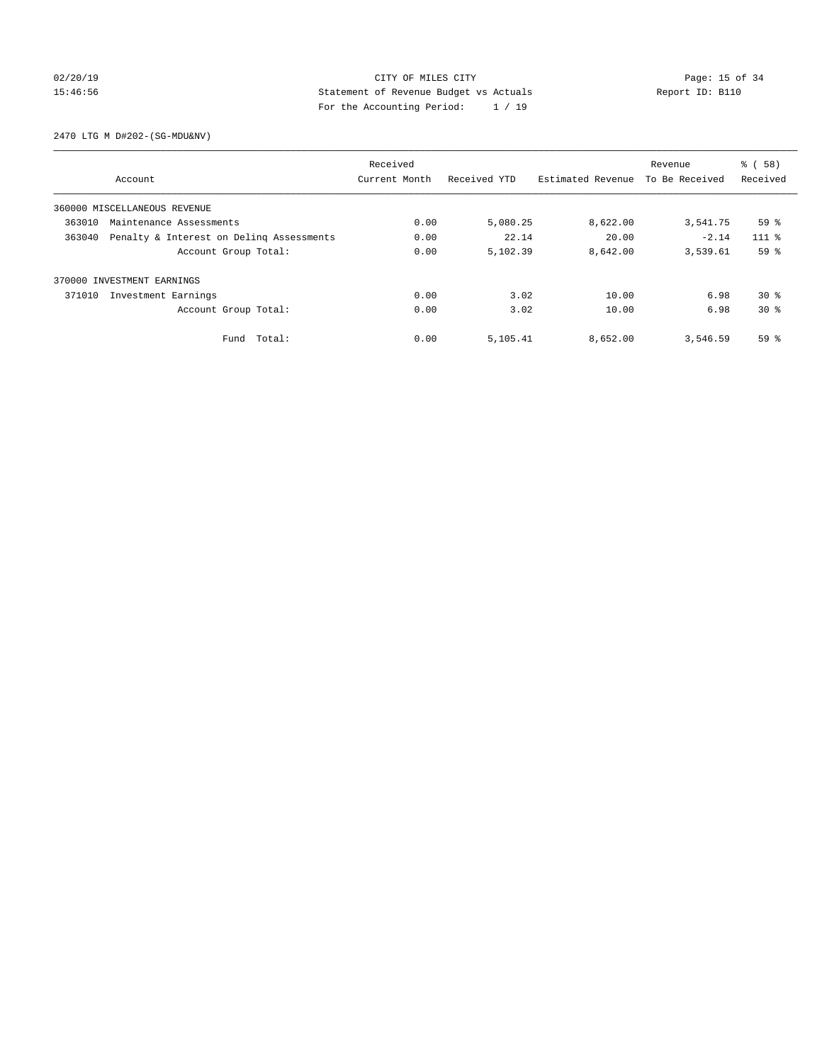# 02/20/19 **Page: 15 of 34** CITY OF MILES CITY **CITY Page: 15 of 34** 15:46:56 Statement of Revenue Budget vs Actuals Report ID: B110 For the Accounting Period: 1 / 19

2470 LTG M D#202-(SG-MDU&NV)

|        |                                          | Received      |              |                   | Revenue        | % (58)          |
|--------|------------------------------------------|---------------|--------------|-------------------|----------------|-----------------|
|        | Account                                  | Current Month | Received YTD | Estimated Revenue | To Be Received | Received        |
|        | 360000 MISCELLANEOUS REVENUE             |               |              |                   |                |                 |
| 363010 | Maintenance Assessments                  | 0.00          | 5,080.25     | 8,622.00          | 3,541.75       | 59%             |
| 363040 | Penalty & Interest on Deling Assessments | 0.00          | 22.14        | 20.00             | $-2.14$        | $111*$          |
|        | Account Group Total:                     | 0.00          | 5,102.39     | 8,642.00          | 3,539.61       | 59 %            |
|        | 370000 INVESTMENT EARNINGS               |               |              |                   |                |                 |
| 371010 | Investment Earnings                      | 0.00          | 3.02         | 10.00             | 6.98           | $30*$           |
|        | Account Group Total:                     | 0.00          | 3.02         | 10.00             | 6.98           | $30*$           |
|        | Total:<br>Fund                           | 0.00          | 5,105.41     | 8,652.00          | 3,546.59       | 59 <sup>8</sup> |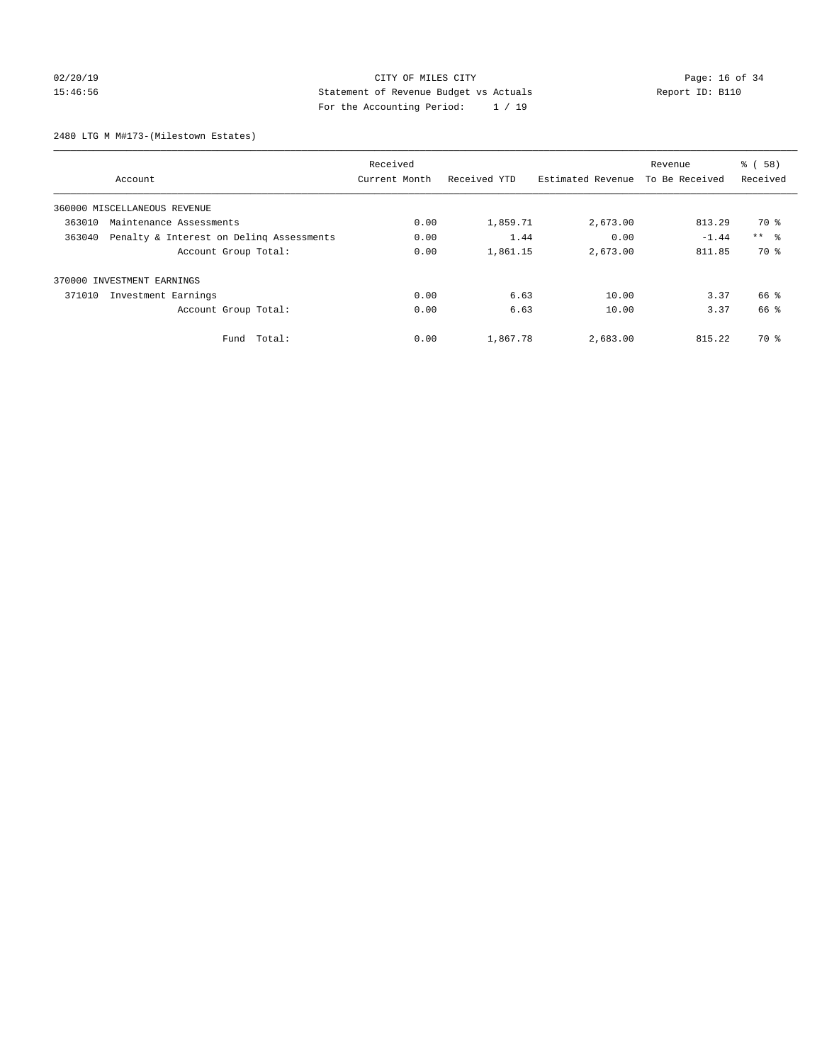# 02/20/19 **Page: 16 of 34** CITY OF MILES CITY **Page: 16 of 34** 15:46:56 Statement of Revenue Budget vs Actuals Report ID: B110 For the Accounting Period: 1 / 19

2480 LTG M M#173-(Milestown Estates)

|        |                                          | Received      |              |                   | Revenue        | % (58)     |
|--------|------------------------------------------|---------------|--------------|-------------------|----------------|------------|
|        | Account                                  | Current Month | Received YTD | Estimated Revenue | To Be Received | Received   |
|        | 360000 MISCELLANEOUS REVENUE             |               |              |                   |                |            |
| 363010 | Maintenance Assessments                  | 0.00          | 1,859.71     | 2,673.00          | 813.29         | 70 %       |
| 363040 | Penalty & Interest on Deling Assessments | 0.00          | 1.44         | 0.00              | $-1.44$        | $***$ $ -$ |
|        | Account Group Total:                     | 0.00          | 1,861.15     | 2,673.00          | 811.85         | 70 %       |
|        | 370000 INVESTMENT EARNINGS               |               |              |                   |                |            |
| 371010 | Investment Earnings                      | 0.00          | 6.63         | 10.00             | 3.37           | 66 %       |
|        | Account Group Total:                     | 0.00          | 6.63         | 10.00             | 3.37           | 66 %       |
|        | Fund Total:                              | 0.00          | 1,867.78     | 2,683.00          | 815.22         | 70 %       |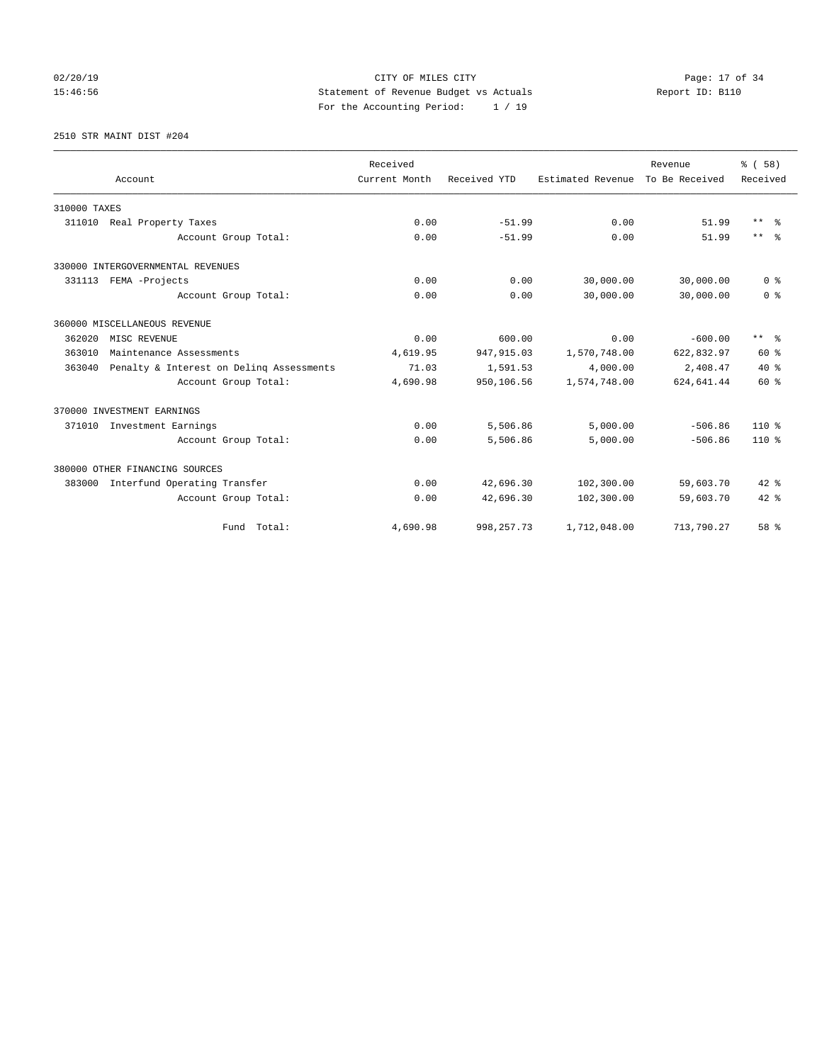# 02/20/19 **Page: 17 of 34** CITY OF MILES CITY **Page: 17 of 34** 15:46:56 Statement of Revenue Budget vs Actuals Report ID: B110 For the Accounting Period: 1 / 19

2510 STR MAINT DIST #204

|              |                                          | Received      |              |                   | Revenue        | % (58)                  |
|--------------|------------------------------------------|---------------|--------------|-------------------|----------------|-------------------------|
|              | Account                                  | Current Month | Received YTD | Estimated Revenue | To Be Received | Received                |
| 310000 TAXES |                                          |               |              |                   |                |                         |
|              | 311010 Real Property Taxes               | 0.00          | $-51.99$     | 0.00              | 51.99          | $***$ $=$               |
|              | Account Group Total:                     | 0.00          | $-51.99$     | 0.00              | 51.99          | $***$ $=$ $\frac{6}{5}$ |
|              | 330000 INTERGOVERNMENTAL REVENUES        |               |              |                   |                |                         |
| 331113       | FEMA -Projects                           | 0.00          | 0.00         | 30,000.00         | 30,000.00      | 0 <sup>8</sup>          |
|              | Account Group Total:                     | 0.00          | 0.00         | 30,000.00         | 30,000.00      | 0 <sup>8</sup>          |
|              | 360000 MISCELLANEOUS REVENUE             |               |              |                   |                |                         |
| 362020       | MISC REVENUE                             | 0.00          | 600.00       | 0.00              | $-600.00$      | $***$ $=$ $\frac{6}{5}$ |
| 363010       | Maintenance Assessments                  | 4,619.95      | 947, 915.03  | 1,570,748.00      | 622,832.97     | 60 %                    |
| 363040       | Penalty & Interest on Deling Assessments | 71.03         | 1,591.53     | 4,000.00          | 2,408.47       | $40*$                   |
|              | Account Group Total:                     | 4,690.98      | 950,106.56   | 1,574,748.00      | 624,641.44     | 60 %                    |
|              | 370000 INVESTMENT EARNINGS               |               |              |                   |                |                         |
| 371010       | Investment Earnings                      | 0.00          | 5,506.86     | 5,000.00          | $-506.86$      | $110*$                  |
|              | Account Group Total:                     | 0.00          | 5,506.86     | 5,000.00          | $-506.86$      | 110 %                   |
|              | 380000 OTHER FINANCING SOURCES           |               |              |                   |                |                         |
|              | 383000 Interfund Operating Transfer      | 0.00          | 42,696.30    | 102,300.00        | 59,603.70      | $42*$                   |
|              | Account Group Total:                     | 0.00          | 42,696.30    | 102,300.00        | 59,603.70      | $42*$                   |
|              | Fund Total:                              | 4,690.98      | 998, 257. 73 | 1,712,048.00      | 713,790.27     | 58 %                    |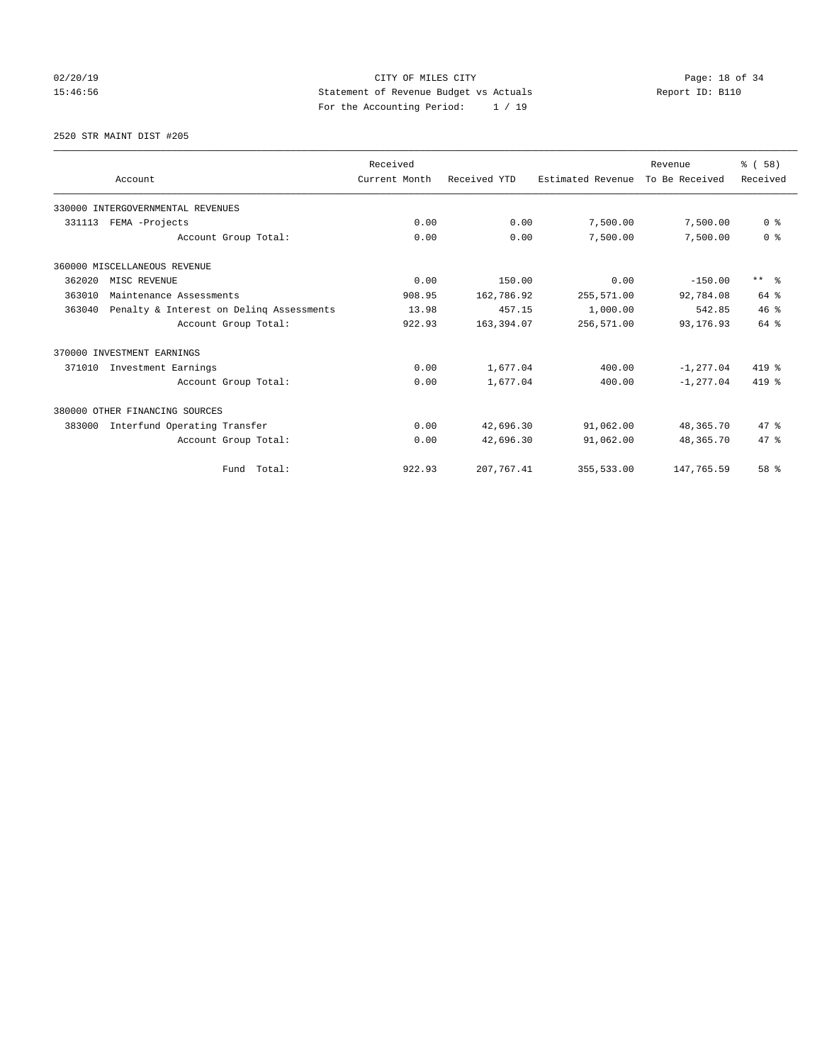02/20/19 **Page: 18 of 34** CITY OF MILES CITY **Page: 18 of 34** 15:46:56 Statement of Revenue Budget vs Actuals Report ID: B110 For the Accounting Period: 1 / 19

2520 STR MAINT DIST #205

|        |                                          | Received      |              |                   | Revenue        | % (58)                  |
|--------|------------------------------------------|---------------|--------------|-------------------|----------------|-------------------------|
|        | Account                                  | Current Month | Received YTD | Estimated Revenue | To Be Received | Received                |
|        | 330000 INTERGOVERNMENTAL REVENUES        |               |              |                   |                |                         |
| 331113 | FEMA -Projects                           | 0.00          | 0.00         | 7,500.00          | 7,500.00       | 0 <sup>8</sup>          |
|        | Account Group Total:                     | 0.00          | 0.00         | 7,500.00          | 7,500.00       | 0 <sup>8</sup>          |
|        | 360000 MISCELLANEOUS REVENUE             |               |              |                   |                |                         |
| 362020 | MISC REVENUE                             | 0.00          | 150.00       | 0.00              | $-150.00$      | $***$ $=$ $\frac{6}{5}$ |
| 363010 | Maintenance Assessments                  | 908.95        | 162,786.92   | 255,571.00        | 92,784.08      | 64 %                    |
| 363040 | Penalty & Interest on Deling Assessments | 13.98         | 457.15       | 1,000.00          | 542.85         | 46%                     |
|        | Account Group Total:                     | 922.93        | 163,394.07   | 256,571.00        | 93, 176.93     | 64 %                    |
|        | 370000 INVESTMENT EARNINGS               |               |              |                   |                |                         |
| 371010 | Investment Earnings                      | 0.00          | 1,677.04     | 400.00            | $-1, 277.04$   | 419 %                   |
|        | Account Group Total:                     | 0.00          | 1,677.04     | 400.00            | $-1, 277.04$   | $419*$                  |
|        | 380000 OTHER FINANCING SOURCES           |               |              |                   |                |                         |
| 383000 | Interfund Operating Transfer             | 0.00          | 42,696.30    | 91,062.00         | 48,365.70      | 47.8                    |
|        | Account Group Total:                     | 0.00          | 42,696.30    | 91,062.00         | 48,365.70      | 47.8                    |
|        | Total:<br>Fund                           | 922.93        | 207, 767.41  | 355,533.00        | 147,765.59     | 58 %                    |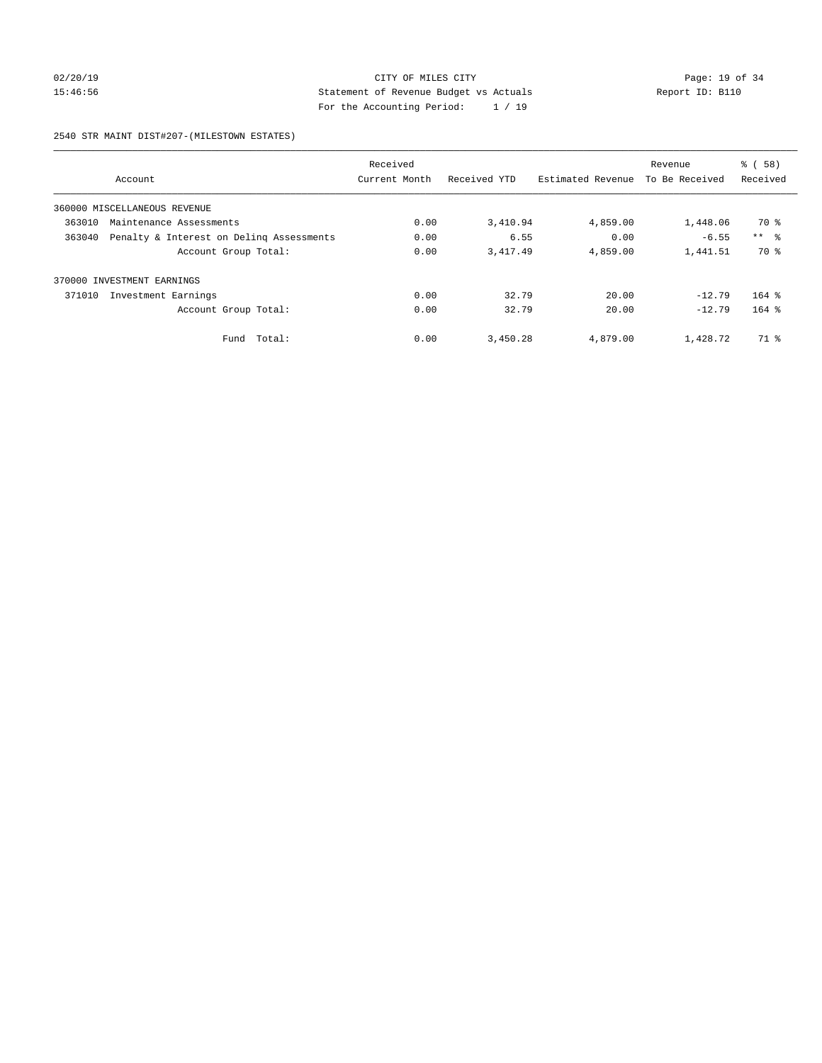# 02/20/19 **Page: 19 of 34** CITY OF MILES CITY **Page: 19 of 34** 15:46:56 Statement of Revenue Budget vs Actuals Report ID: B110 For the Accounting Period: 1 / 19

2540 STR MAINT DIST#207-(MILESTOWN ESTATES)

|        |                                          | Received      |              |                   | Revenue        | % (58)          |
|--------|------------------------------------------|---------------|--------------|-------------------|----------------|-----------------|
|        | Account                                  | Current Month | Received YTD | Estimated Revenue | To Be Received | Received        |
|        | 360000 MISCELLANEOUS REVENUE             |               |              |                   |                |                 |
| 363010 | Maintenance Assessments                  | 0.00          | 3,410.94     | 4,859.00          | 1,448.06       | 70 %            |
| 363040 | Penalty & Interest on Deling Assessments | 0.00          | 6.55         | 0.00              | $-6.55$        | $***$ $\approx$ |
|        | Account Group Total:                     | 0.00          | 3,417.49     | 4,859.00          | 1,441.51       | 70 %            |
| 370000 | INVESTMENT EARNINGS                      |               |              |                   |                |                 |
| 371010 | Investment Earnings                      | 0.00          | 32.79        | 20.00             | $-12.79$       | $164$ %         |
|        | Account Group Total:                     | 0.00          | 32.79        | 20.00             | $-12.79$       | $164$ $%$       |
|        | Total:<br>Fund                           | 0.00          | 3,450.28     | 4,879.00          | 1,428.72       | 71 %            |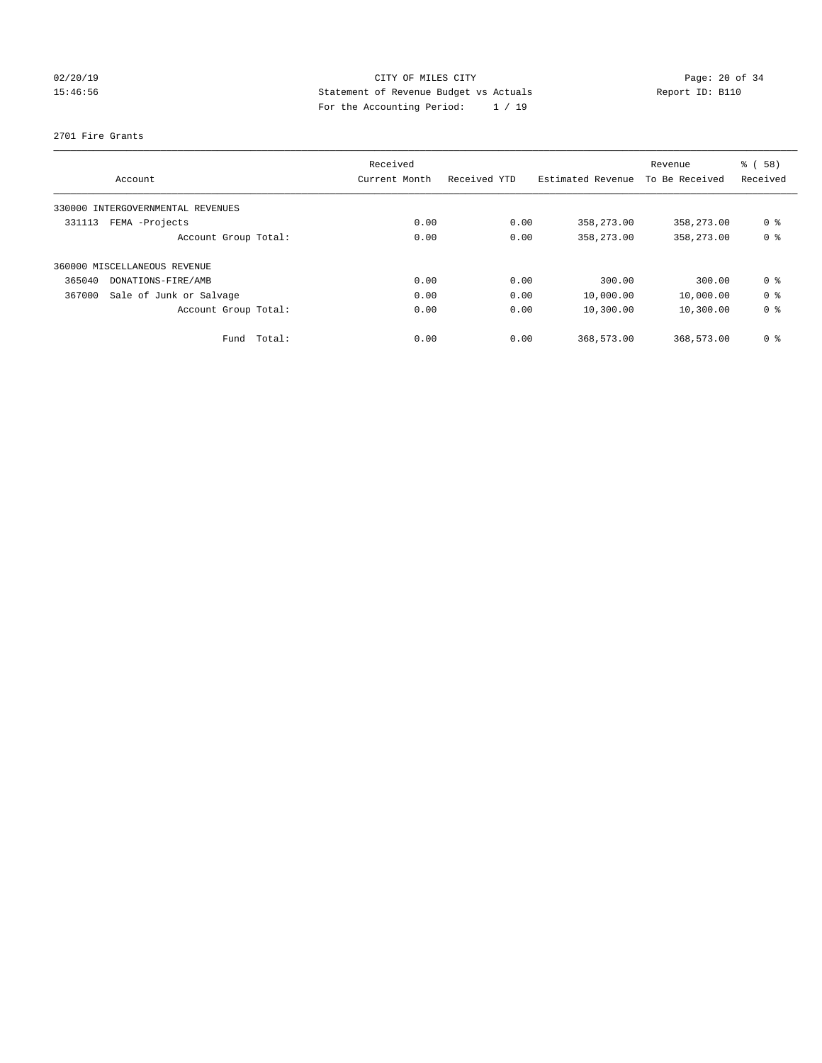# 02/20/19 **Page: 20 of 34** CITY OF MILES CITY **Page: 20 of 34** 15:46:56 Statement of Revenue Budget vs Actuals Report ID: B110 For the Accounting Period: 1 / 19

2701 Fire Grants

|                                   | Received       |              |                   | Revenue        | % (58)         |
|-----------------------------------|----------------|--------------|-------------------|----------------|----------------|
| Account                           | Current Month  | Received YTD | Estimated Revenue | To Be Received | Received       |
| 330000 INTERGOVERNMENTAL REVENUES |                |              |                   |                |                |
| FEMA -Projects<br>331113          | 0.00           | 0.00         | 358,273.00        | 358,273.00     | 0 <sup>8</sup> |
| Account Group Total:              | 0.00           | 0.00         | 358,273.00        | 358, 273, 00   | 0 <sup>8</sup> |
| 360000 MISCELLANEOUS REVENUE      |                |              |                   |                |                |
| 365040<br>DONATIONS-FIRE/AMB      | 0.00           | 0.00         | 300.00            | 300.00         | 0 <sup>8</sup> |
| Sale of Junk or Salvage<br>367000 | 0.00           | 0.00         | 10,000.00         | 10,000.00      | 0 <sup>8</sup> |
| Account Group Total:              | 0.00           | 0.00         | 10,300.00         | 10,300.00      | 0 <sup>8</sup> |
| Fund                              | Total:<br>0.00 | 0.00         | 368,573.00        | 368,573.00     | 0 <sup>8</sup> |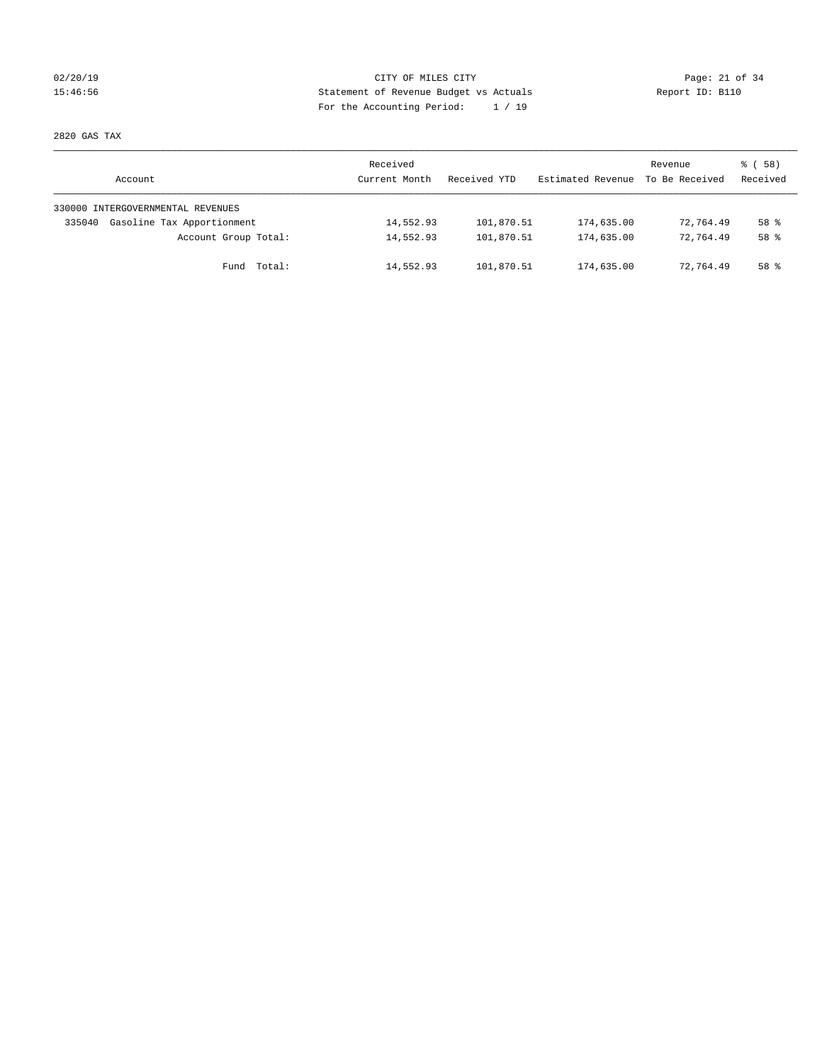# 02/20/19 **Page: 21 of 34** CITY OF MILES CITY **Page: 21 of 34** 15:46:56 Statement of Revenue Budget vs Actuals Report ID: B110 For the Accounting Period: 1 / 19

2820 GAS TAX

| Account                              | Received<br>Current Month | Received YTD | Estimated Revenue | Revenue<br>To Be Received | 8 ( 58 )<br>Received |
|--------------------------------------|---------------------------|--------------|-------------------|---------------------------|----------------------|
| 330000 INTERGOVERNMENTAL REVENUES    |                           |              |                   |                           |                      |
| Gasoline Tax Apportionment<br>335040 | 14,552.93                 | 101,870.51   | 174,635.00        | 72,764.49                 | 58 %                 |
| Account Group Total:                 | 14,552.93                 | 101,870.51   | 174,635.00        | 72,764.49                 | 58 <sup>8</sup>      |
| Fund Total:                          | 14,552.93                 | 101,870.51   | 174,635.00        | 72,764.49                 | 58 %                 |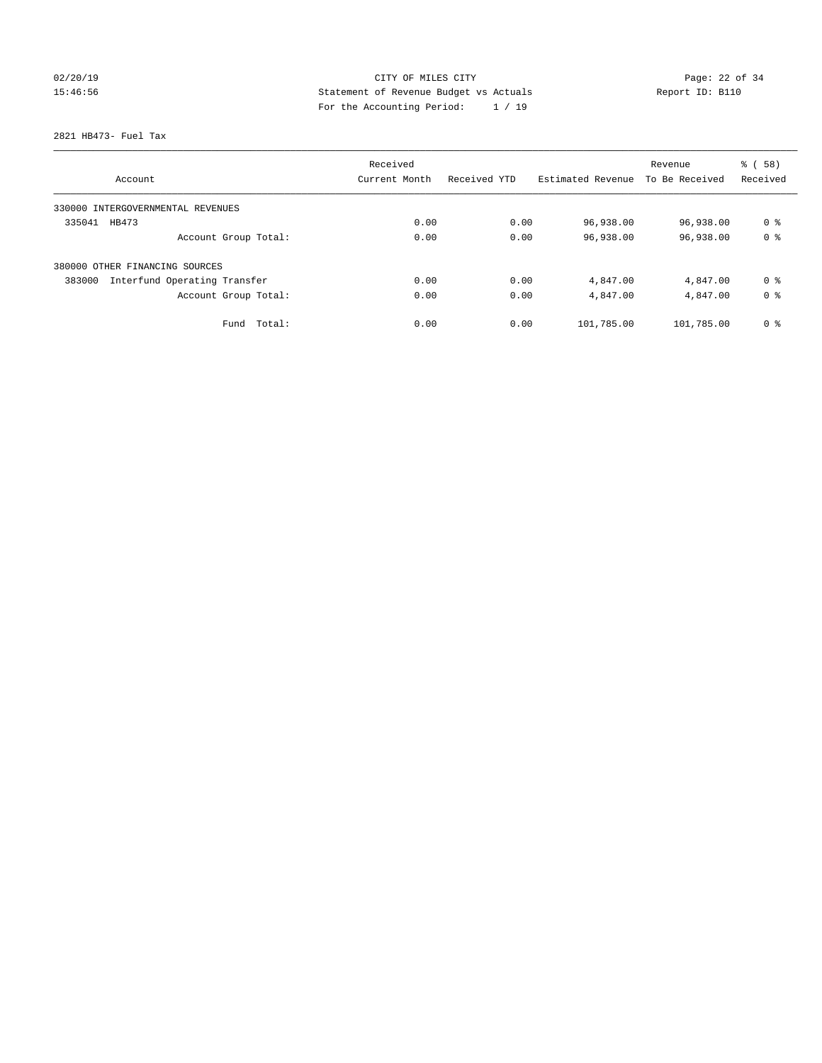# 02/20/19 **Page: 22 of 34** CITY OF MILES CITY **Page: 22 of 34** 15:46:56 Statement of Revenue Budget vs Actuals Report ID: B110 For the Accounting Period: 1 / 19

2821 HB473- Fuel Tax

|                                        | Received      |              |                   | Revenue        | % (58)         |
|----------------------------------------|---------------|--------------|-------------------|----------------|----------------|
| Account                                | Current Month | Received YTD | Estimated Revenue | To Be Received | Received       |
| 330000 INTERGOVERNMENTAL REVENUES      |               |              |                   |                |                |
| 335041<br>HB473                        | 0.00          | 0.00         | 96,938.00         | 96,938.00      | 0 <sup>8</sup> |
| Account Group Total:                   | 0.00          | 0.00         | 96,938.00         | 96,938.00      | 0 <sup>8</sup> |
| 380000 OTHER FINANCING SOURCES         |               |              |                   |                |                |
| Interfund Operating Transfer<br>383000 | 0.00          | 0.00         | 4,847.00          | 4,847.00       | 0 <sup>8</sup> |
| Account Group Total:                   | 0.00          | 0.00         | 4,847.00          | 4,847.00       | 0 <sup>8</sup> |
| Total:<br>Fund                         | 0.00          | 0.00         | 101,785.00        | 101,785.00     | 0 <sup>8</sup> |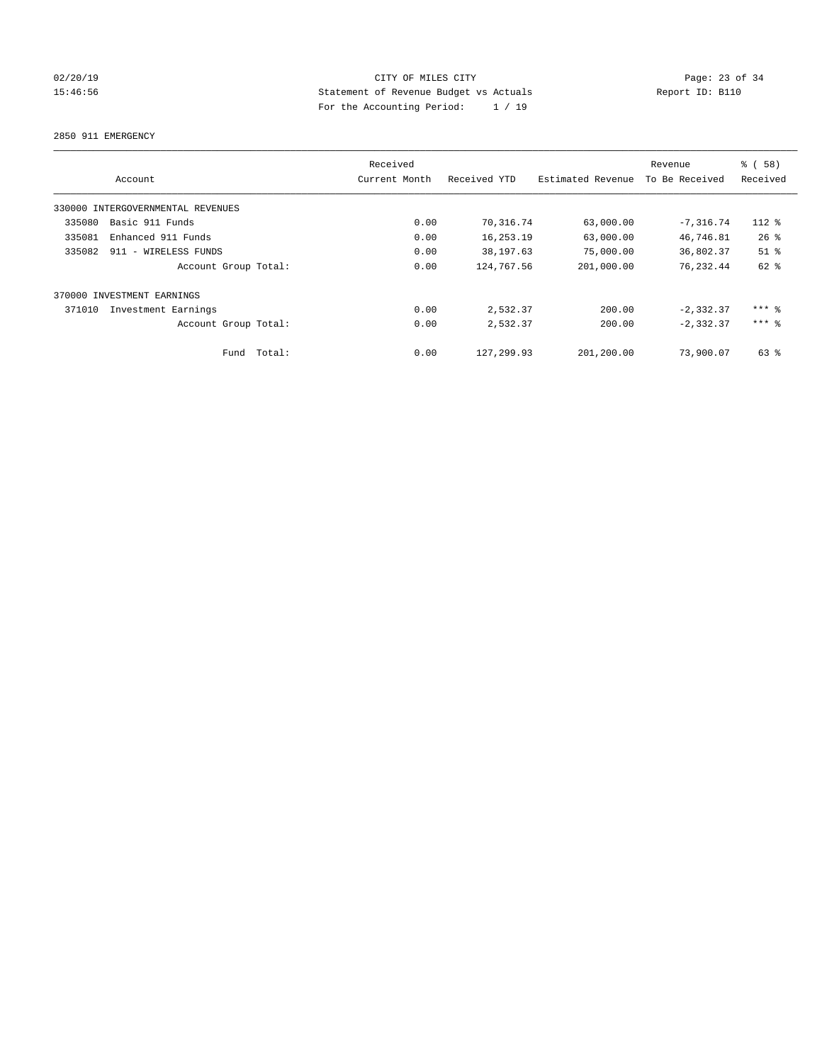# 02/20/19 **Page: 23 of 34** CITY OF MILES CITY **CITY Page: 23 of 34** 15:46:56 Statement of Revenue Budget vs Actuals Report ID: B110 For the Accounting Period: 1 / 19

2850 911 EMERGENCY

|        |                                   |        | Received      |              |                   | Revenue        | % (58)              |
|--------|-----------------------------------|--------|---------------|--------------|-------------------|----------------|---------------------|
|        | Account                           |        | Current Month | Received YTD | Estimated Revenue | To Be Received | Received            |
|        | 330000 INTERGOVERNMENTAL REVENUES |        |               |              |                   |                |                     |
| 335080 | Basic 911 Funds                   |        | 0.00          | 70,316.74    | 63,000.00         | $-7, 316.74$   | 112 %               |
| 335081 | Enhanced 911 Funds                |        | 0.00          | 16,253.19    | 63,000.00         | 46,746.81      | $26$ %              |
| 335082 | 911 - WIRELESS FUNDS              |        | 0.00          | 38,197.63    | 75,000.00         | 36,802.37      | $51$ %              |
|        | Account Group Total:              |        | 0.00          | 124,767.56   | 201,000.00        | 76,232.44      | 62 %                |
|        | 370000 INVESTMENT EARNINGS        |        |               |              |                   |                |                     |
| 371010 | Investment Earnings               |        | 0.00          | 2,532.37     | 200.00            | $-2, 332.37$   | $***$ $%$           |
|        | Account Group Total:              |        | 0.00          | 2,532.37     | 200.00            | $-2, 332, 37$  | $***$ $\frac{6}{5}$ |
|        | Fund                              | Total: | 0.00          | 127, 299.93  | 201,200.00        | 73,900.07      | $63$ $%$            |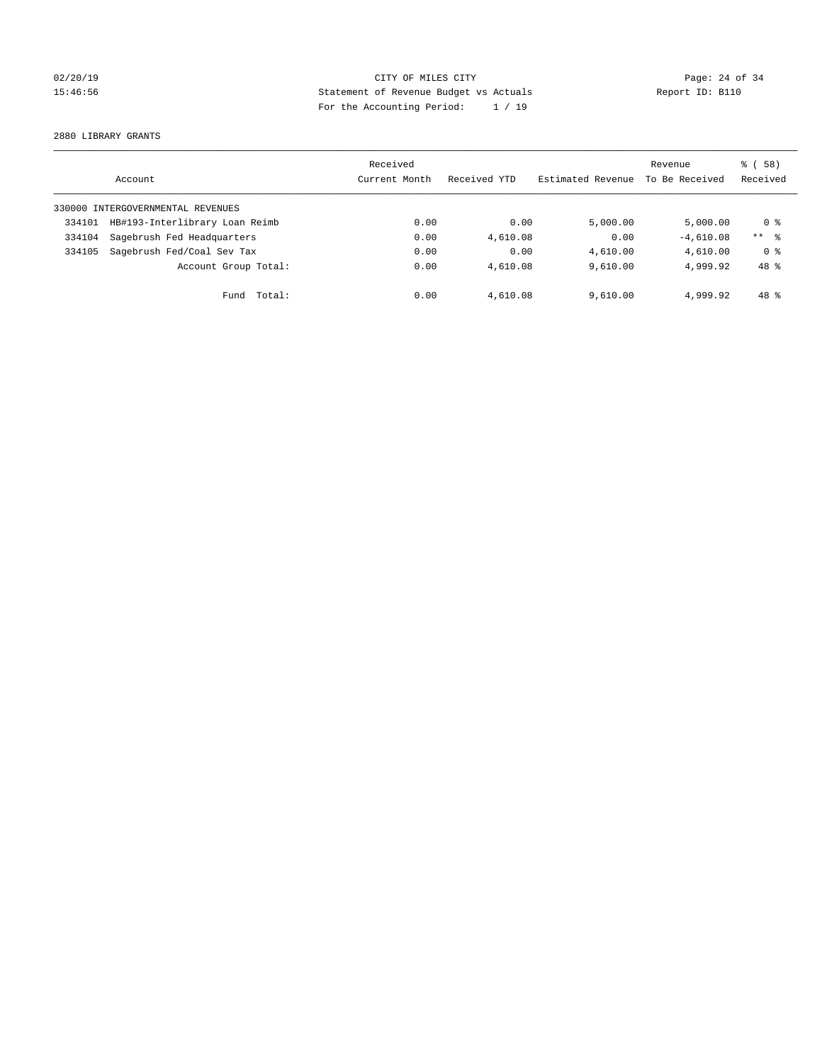# 02/20/19 **Page: 24 of 34** CITY OF MILES CITY **Page: 24 of 34** 15:46:56 Statement of Revenue Budget vs Actuals Report ID: B110 For the Accounting Period: 1 / 19

2880 LIBRARY GRANTS

|                                   | Account                        | Received<br>Current Month | Received YTD | Estimated Revenue | Revenue<br>To Be Received | 8 ( 58 )<br>Received |
|-----------------------------------|--------------------------------|---------------------------|--------------|-------------------|---------------------------|----------------------|
| 330000 INTERGOVERNMENTAL REVENUES |                                |                           |              |                   |                           |                      |
| 334101                            | HB#193-Interlibrary Loan Reimb | 0.00                      | 0.00         | 5.000.00          | 5.000.00                  | 0 %                  |
| 334104                            | Sagebrush Fed Headquarters     | 0.00                      | 4,610.08     | 0.00              | $-4,610.08$               | $***$ $\approx$      |
| 334105                            | Sagebrush Fed/Coal Sev Tax     | 0.00                      | 0.00         | 4,610.00          | 4,610.00                  | 0 <sup>8</sup>       |
|                                   | Account Group Total:           | 0.00                      | 4,610.08     | 9.610.00          | 4,999.92                  | 48 %                 |
|                                   | Total:<br>Fund                 | 0.00                      | 4,610.08     | 9,610.00          | 4,999.92                  | 48 %                 |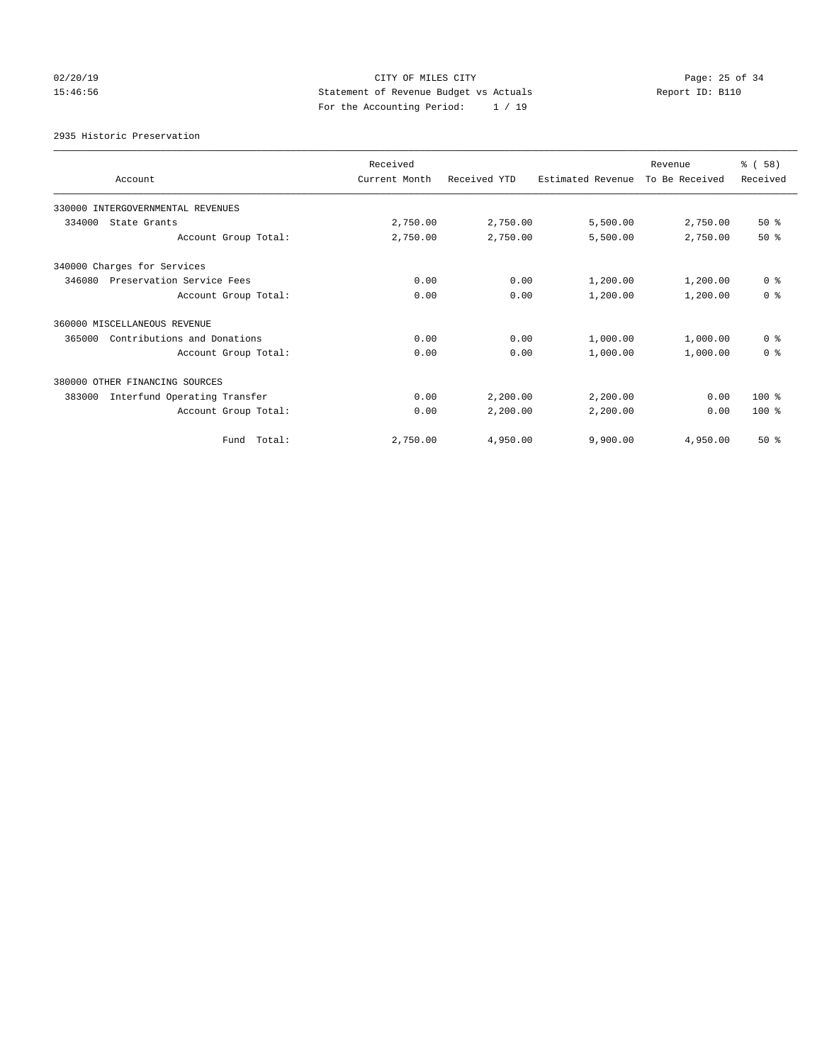# 02/20/19 **Page: 25 of 34** CITY OF MILES CITY **CITY Page: 25 of 34** 15:46:56 Statement of Revenue Budget vs Actuals Report ID: B110 For the Accounting Period: 1 / 19

2935 Historic Preservation

| Account                                | Received<br>Current Month | Received YTD | Estimated Revenue | Revenue<br>To Be Received | % (58)<br>Received |
|----------------------------------------|---------------------------|--------------|-------------------|---------------------------|--------------------|
| 330000 INTERGOVERNMENTAL REVENUES      |                           |              |                   |                           |                    |
| 334000<br>State Grants                 | 2,750.00                  | 2,750.00     | 5,500.00          | 2,750.00                  | 50%                |
| Account Group Total:                   | 2,750.00                  | 2,750.00     | 5,500.00          | 2,750.00                  | $50*$              |
| 340000 Charges for Services            |                           |              |                   |                           |                    |
| Preservation Service Fees<br>346080    | 0.00                      | 0.00         | 1,200.00          | 1,200.00                  | 0 <sup>8</sup>     |
| Account Group Total:                   | 0.00                      | 0.00         | 1,200.00          | 1,200.00                  | 0 <sup>8</sup>     |
| 360000 MISCELLANEOUS REVENUE           |                           |              |                   |                           |                    |
| 365000<br>Contributions and Donations  | 0.00                      | 0.00         | 1,000.00          | 1,000.00                  | 0 <sup>8</sup>     |
| Account Group Total:                   | 0.00                      | 0.00         | 1,000.00          | 1,000.00                  | 0 <sup>8</sup>     |
| 380000 OTHER FINANCING SOURCES         |                           |              |                   |                           |                    |
| Interfund Operating Transfer<br>383000 | 0.00                      | 2,200.00     | 2,200.00          | 0.00                      | $100*$             |
| Account Group Total:                   | 0.00                      | 2,200.00     | 2,200.00          | 0.00                      | $100*$             |
| Fund Total:                            | 2,750.00                  | 4,950.00     | 9,900.00          | 4,950.00                  | $50*$              |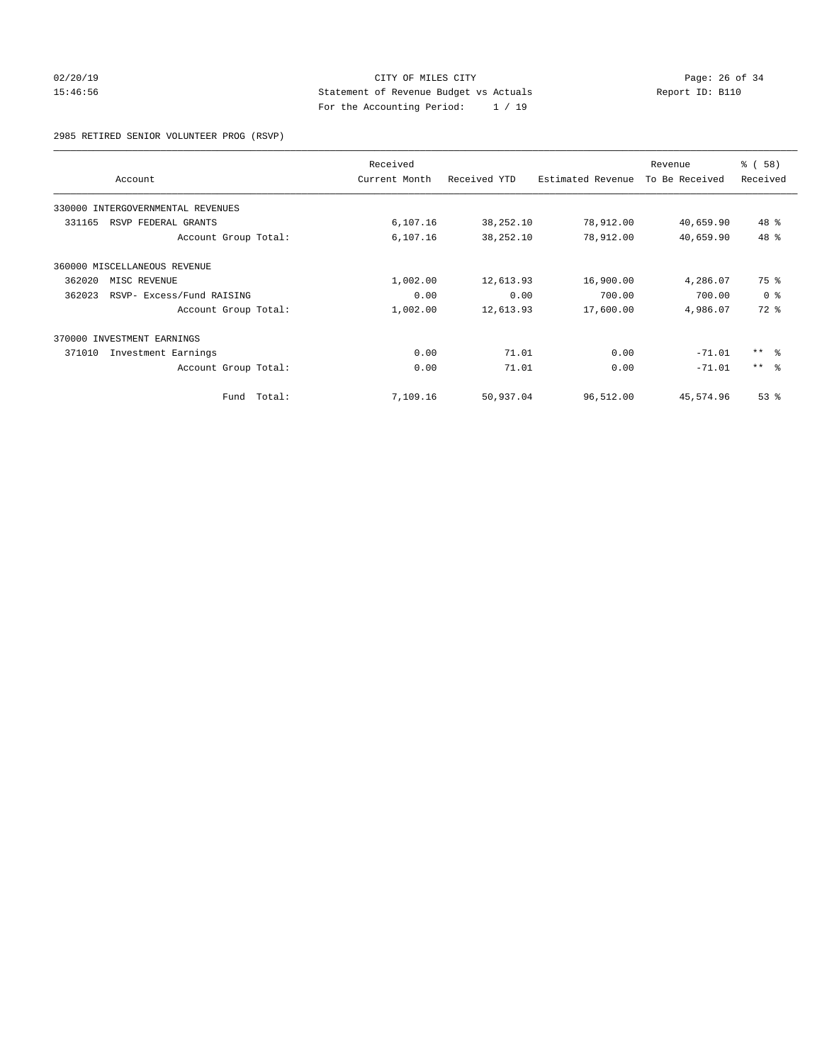# 02/20/19 **Page: 26 of 34** CITY OF MILES CITY **Page: 26 of 34** 15:46:56 Statement of Revenue Budget vs Actuals Report ID: B110 For the Accounting Period: 1 / 19

2985 RETIRED SENIOR VOLUNTEER PROG (RSVP)

| Account                             |        | Received<br>Current Month | Received YTD | Estimated Revenue | Revenue<br>To Be Received | % (58)<br>Received |
|-------------------------------------|--------|---------------------------|--------------|-------------------|---------------------------|--------------------|
| 330000 INTERGOVERNMENTAL REVENUES   |        |                           |              |                   |                           |                    |
| 331165<br>RSVP FEDERAL GRANTS       |        | 6,107.16                  | 38, 252.10   | 78,912.00         | 40,659.90                 | 48 %               |
| Account Group Total:                |        | 6,107.16                  | 38,252.10    | 78,912.00         | 40,659.90                 | 48 %               |
| 360000 MISCELLANEOUS REVENUE        |        |                           |              |                   |                           |                    |
| 362020<br>MISC REVENUE              |        | 1,002.00                  | 12,613.93    | 16,900.00         | 4,286.07                  | 75 %               |
| 362023<br>RSVP- Excess/Fund RAISING |        | 0.00                      | 0.00         | 700.00            | 700.00                    | 0 <sup>8</sup>     |
| Account Group Total:                |        | 1,002.00                  | 12,613.93    | 17,600.00         | 4,986.07                  | $72*$              |
| 370000 INVESTMENT EARNINGS          |        |                           |              |                   |                           |                    |
| 371010<br>Investment Earnings       |        | 0.00                      | 71.01        | 0.00              | $-71.01$                  | ** 응               |
| Account Group Total:                |        | 0.00                      | 71.01        | 0.00              | $-71.01$                  | $***$ $ -$         |
| Fund                                | Total: | 7,109.16                  | 50,937.04    | 96,512.00         | 45,574.96                 | $53$ $%$           |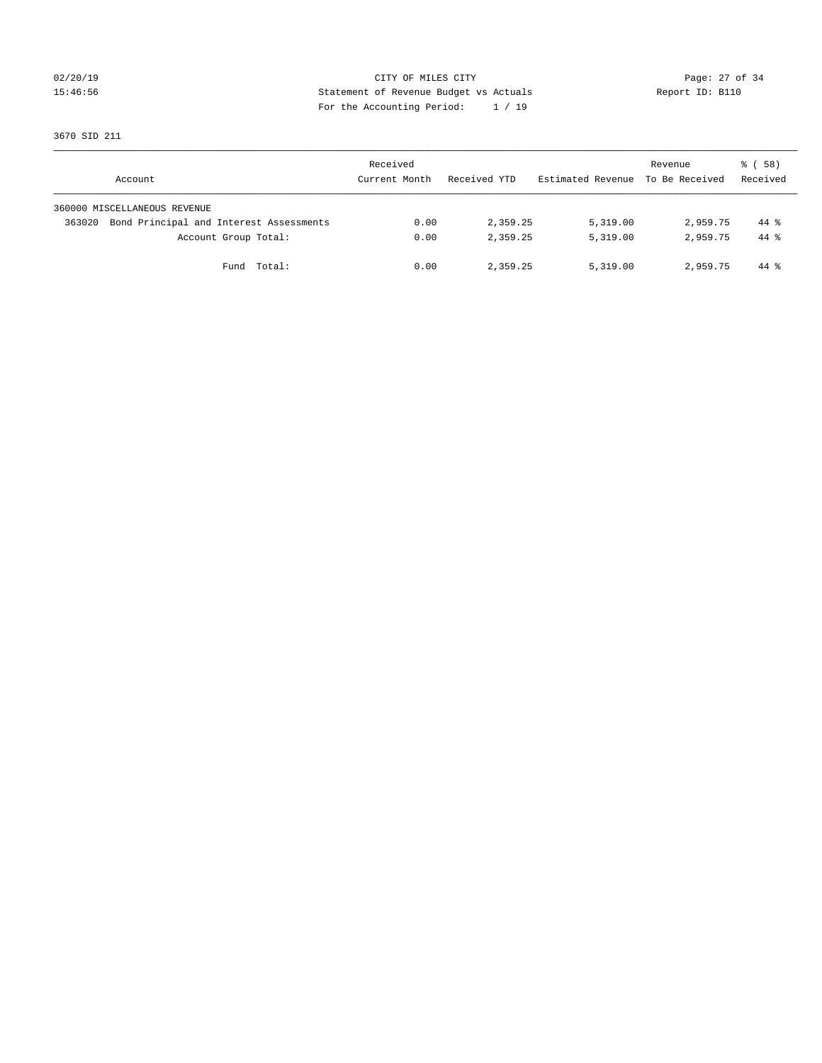# 02/20/19 **Page: 27 of 34** CITY OF MILES CITY **Page: 27 of 34** 15:46:56 Statement of Revenue Budget vs Actuals Report ID: B110 For the Accounting Period: 1 / 19

3670 SID 211

| Account                                           | Received<br>Current Month | Received YTD | Estimated Revenue | Revenue<br>To Be Received | 8 ( 58 )<br>Received |
|---------------------------------------------------|---------------------------|--------------|-------------------|---------------------------|----------------------|
| 360000 MISCELLANEOUS REVENUE                      |                           |              |                   |                           |                      |
| Bond Principal and Interest Assessments<br>363020 | 0.00                      | 2,359.25     | 5,319.00          | 2,959.75                  | $44*$                |
| Account Group Total:                              | 0.00                      | 2,359.25     | 5,319.00          | 2,959.75                  | $44*$                |
| Total:<br>Fund                                    | 0.00                      | 2,359.25     | 5,319.00          | 2,959.75                  | 44 %                 |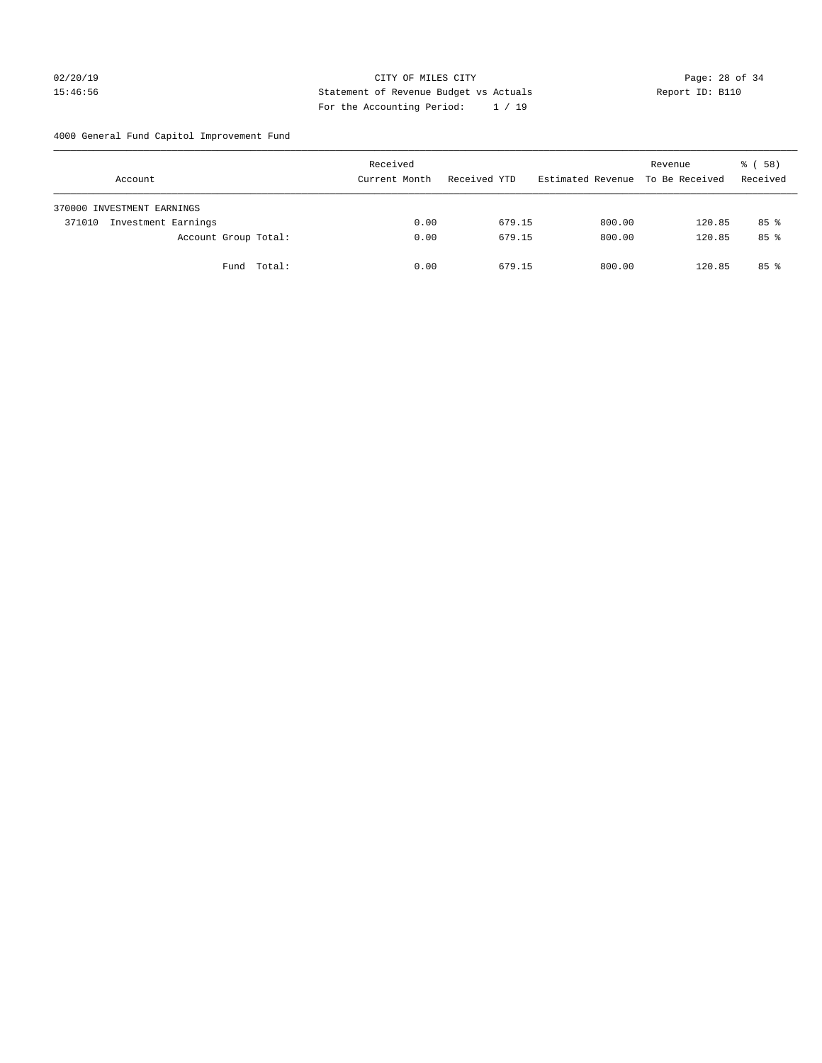# 02/20/19 **Page: 28 of 34** CITY OF MILES CITY **Page: 28 of 34** 15:46:56 Statement of Revenue Budget vs Actuals Report ID: B110 For the Accounting Period: 1 / 19

4000 General Fund Capitol Improvement Fund

|        | Account                    |                      | Received<br>Current Month |      | Received YTD |        | Estimated Revenue |        | Revenue<br>To Be Received | 8 ( 58 )<br>Received |
|--------|----------------------------|----------------------|---------------------------|------|--------------|--------|-------------------|--------|---------------------------|----------------------|
|        | 370000 INVESTMENT EARNINGS |                      |                           |      |              |        |                   |        |                           |                      |
| 371010 | Investment Earnings        |                      |                           | 0.00 |              | 679.15 |                   | 800.00 | 120.85                    | $85$ %               |
|        |                            | Account Group Total: |                           | 0.00 |              | 679.15 |                   | 800.00 | 120.85                    | 85 <sup>8</sup>      |
|        |                            | Fund Total:          |                           | 0.00 |              | 679.15 |                   | 800.00 | 120.85                    | $85*$                |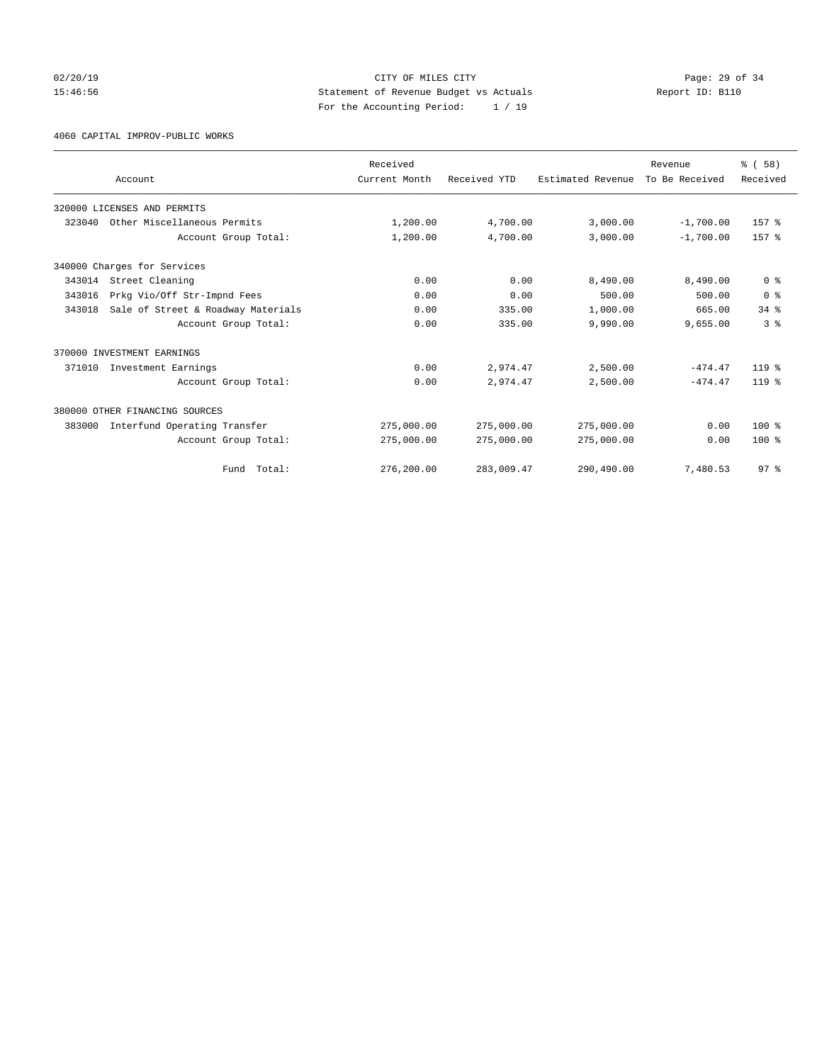# 02/20/19 **Page: 29 of 34** CITY OF MILES CITY **CITY Page: 29 of 34** 15:46:56 Statement of Revenue Budget vs Actuals Report ID: B110 For the Accounting Period: 1 / 19

4060 CAPITAL IMPROV-PUBLIC WORKS

|        | Account                            | Received<br>Current Month | Received YTD | Estimated Revenue | Revenue<br>To Be Received | % (58)<br>Received |
|--------|------------------------------------|---------------------------|--------------|-------------------|---------------------------|--------------------|
|        | 320000 LICENSES AND PERMITS        |                           |              |                   |                           |                    |
|        | 323040 Other Miscellaneous Permits | 1,200.00                  | 4,700.00     | 3,000.00          | $-1,700.00$               | 157 %              |
|        | Account Group Total:               | 1,200.00                  | 4,700.00     | 3,000.00          | $-1,700.00$               | 157 %              |
|        | 340000 Charges for Services        |                           |              |                   |                           |                    |
| 343014 | Street Cleaning                    | 0.00                      | 0.00         | 8,490.00          | 8,490.00                  | 0 <sup>8</sup>     |
| 343016 | Prkg Vio/Off Str-Impnd Fees        | 0.00                      | 0.00         | 500.00            | 500.00                    | 0 <sup>8</sup>     |
| 343018 | Sale of Street & Roadway Materials | 0.00                      | 335.00       | 1,000.00          | 665.00                    | $34$ $%$           |
|        | Account Group Total:               | 0.00                      | 335.00       | 9,990.00          | 9,655.00                  | 3 <sup>8</sup>     |
|        | 370000 INVESTMENT EARNINGS         |                           |              |                   |                           |                    |
| 371010 | Investment Earnings                | 0.00                      | 2,974.47     | 2,500.00          | $-474.47$                 | $119*$             |
|        | Account Group Total:               | 0.00                      | 2,974.47     | 2,500.00          | $-474.47$                 | $119*$             |
|        | 380000 OTHER FINANCING SOURCES     |                           |              |                   |                           |                    |
| 383000 | Interfund Operating Transfer       | 275,000.00                | 275,000.00   | 275,000.00        | 0.00                      | $100*$             |
|        | Account Group Total:               | 275,000.00                | 275,000.00   | 275,000.00        | 0.00                      | $100*$             |
|        | Fund Total:                        | 276,200.00                | 283,009.47   | 290,490.00        | 7,480.53                  | 97 <sup>8</sup>    |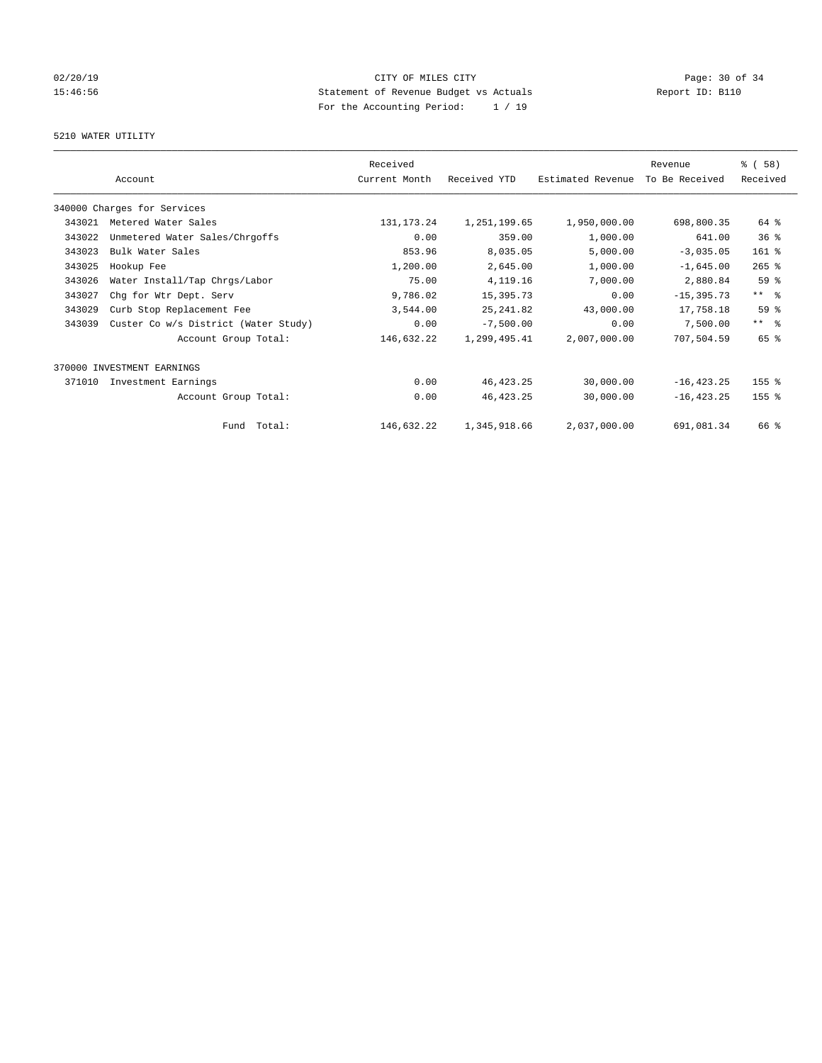# 02/20/19 **Page: 30 of 34** CITY OF MILES CITY **Page: 30 of 34** 15:46:56 Statement of Revenue Budget vs Actuals Report ID: B110 For the Accounting Period: 1 / 19

# 5210 WATER UTILITY

|        |                                      | Received      |              |                   | Revenue        | % (58)              |
|--------|--------------------------------------|---------------|--------------|-------------------|----------------|---------------------|
|        | Account                              | Current Month | Received YTD | Estimated Revenue | To Be Received | Received            |
|        | 340000 Charges for Services          |               |              |                   |                |                     |
| 343021 | Metered Water Sales                  | 131, 173. 24  | 1,251,199.65 | 1,950,000.00      | 698,800.35     | 64 %                |
| 343022 | Unmetered Water Sales/Chrgoffs       | 0.00          | 359.00       | 1,000.00          | 641.00         | 36 <sup>8</sup>     |
| 343023 | Bulk Water Sales                     | 853.96        | 8,035.05     | 5,000.00          | $-3,035.05$    | 161 %               |
| 343025 | Hookup Fee                           | 1,200.00      | 2,645.00     | 1,000.00          | $-1,645.00$    | $265$ %             |
| 343026 | Water Install/Tap Chrgs/Labor        | 75.00         | 4, 119. 16   | 7,000.00          | 2,880.84       | 59 %                |
| 343027 | Chg for Wtr Dept. Serv               | 9,786.02      | 15,395.73    | 0.00              | $-15, 395.73$  | $***$ $\frac{6}{5}$ |
| 343029 | Curb Stop Replacement Fee            | 3,544.00      | 25, 241.82   | 43,000.00         | 17,758.18      | 59 <sup>°</sup>     |
| 343039 | Custer Co w/s District (Water Study) | 0.00          | $-7,500.00$  | 0.00              | 7,500.00       | $***$ $-$           |
|        | Account Group Total:                 | 146,632.22    | 1,299,495.41 | 2,007,000.00      | 707,504.59     | 65 %                |
|        | 370000 INVESTMENT EARNINGS           |               |              |                   |                |                     |
| 371010 | Investment Earnings                  | 0.00          | 46, 423.25   | 30,000.00         | $-16, 423.25$  | 155 %               |
|        | Account Group Total:                 | 0.00          | 46, 423.25   | 30,000.00         | $-16, 423.25$  | 155 <sub>8</sub>    |
|        | Fund Total:                          | 146,632.22    | 1,345,918.66 | 2,037,000.00      | 691,081.34     | 66 %                |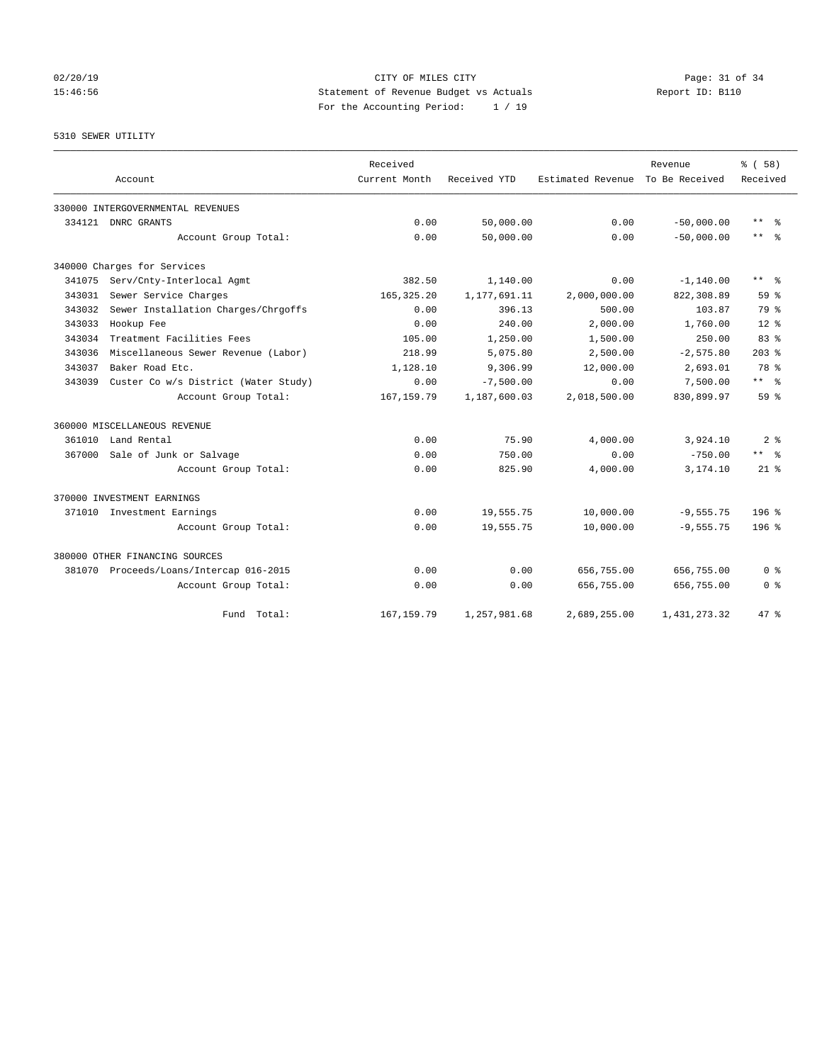# 02/20/19 **Page: 31 of 34** CITY OF MILES CITY **Page: 31 of 34** 15:46:56 Statement of Revenue Budget vs Actuals Report ID: B110 For the Accounting Period: 1 / 19

5310 SEWER UTILITY

|        | Account                                 | Received<br>Current Month | Received YTD   | Estimated Revenue | Revenue<br>To Be Received | % (58)<br>Received |
|--------|-----------------------------------------|---------------------------|----------------|-------------------|---------------------------|--------------------|
|        | 330000 INTERGOVERNMENTAL REVENUES       |                           |                |                   |                           |                    |
| 334121 | DNRC GRANTS                             | 0.00                      | 50,000.00      | 0.00              | $-50,000.00$              | $\star\star$<br>ু≳ |
|        | Account Group Total:                    | 0.00                      | 50,000.00      | 0.00              | $-50.000.00$              | $***$ $=$          |
|        | 340000 Charges for Services             |                           |                |                   |                           |                    |
| 341075 | Serv/Cnty-Interlocal Agmt               | 382.50                    | 1,140.00       | 0.00              | $-1, 140.00$              | $***$ $%$          |
| 343031 | Sewer Service Charges                   | 165, 325.20               | 1, 177, 691.11 | 2,000,000.00      | 822,308.89                | 59 <sup>8</sup>    |
| 343032 | Sewer Installation Charges/Chrgoffs     | 0.00                      | 396.13         | 500.00            | 103.87                    | 79 %               |
| 343033 | Hookup Fee                              | 0.00                      | 240.00         | 2,000.00          | 1,760.00                  | $12*$              |
| 343034 | Treatment Facilities Fees               | 105.00                    | 1,250.00       | 1,500.00          | 250.00                    | 83 <sup>8</sup>    |
| 343036 | Miscellaneous Sewer Revenue (Labor)     | 218.99                    | 5,075.80       | 2,500.00          | $-2,575.80$               | $203$ %            |
| 343037 | Baker Road Etc.                         | 1,128.10                  | 9,306.99       | 12,000.00         | 2,693.01                  | 78 %               |
| 343039 | Custer Co w/s District (Water Study)    | 0.00                      | $-7,500.00$    | 0.00              | 7,500.00                  | $***$ $-$          |
|        | Account Group Total:                    | 167, 159.79               | 1,187,600.03   | 2,018,500.00      | 830,899.97                | 59 <sup>8</sup>    |
|        | 360000 MISCELLANEOUS REVENUE            |                           |                |                   |                           |                    |
|        | 361010 Land Rental                      | 0.00                      | 75.90          | 4,000.00          | 3,924.10                  | 2 <sup>8</sup>     |
| 367000 | Sale of Junk or Salvage                 | 0.00                      | 750.00         | 0.00              | $-750.00$                 | $***$ $=$          |
|        | Account Group Total:                    | 0.00                      | 825.90         | 4,000.00          | 3,174.10                  | $21*$              |
|        | 370000 INVESTMENT EARNINGS              |                           |                |                   |                           |                    |
|        | 371010 Investment Earnings              | 0.00                      | 19,555.75      | 10,000.00         | $-9,555.75$               | $196$ %            |
|        | Account Group Total:                    | 0.00                      | 19,555.75      | 10,000.00         | $-9,555.75$               | 196 <sup>8</sup>   |
|        | 380000 OTHER FINANCING SOURCES          |                           |                |                   |                           |                    |
|        | 381070 Proceeds/Loans/Intercap 016-2015 | 0.00                      | 0.00           | 656,755.00        | 656,755.00                | 0 <sup>8</sup>     |
|        | Account Group Total:                    | 0.00                      | 0.00           | 656,755.00        | 656,755.00                | 0 <sup>8</sup>     |
|        | Fund Total:                             | 167, 159.79               | 1,257,981.68   | 2,689,255.00      | 1,431,273.32              | 47 %               |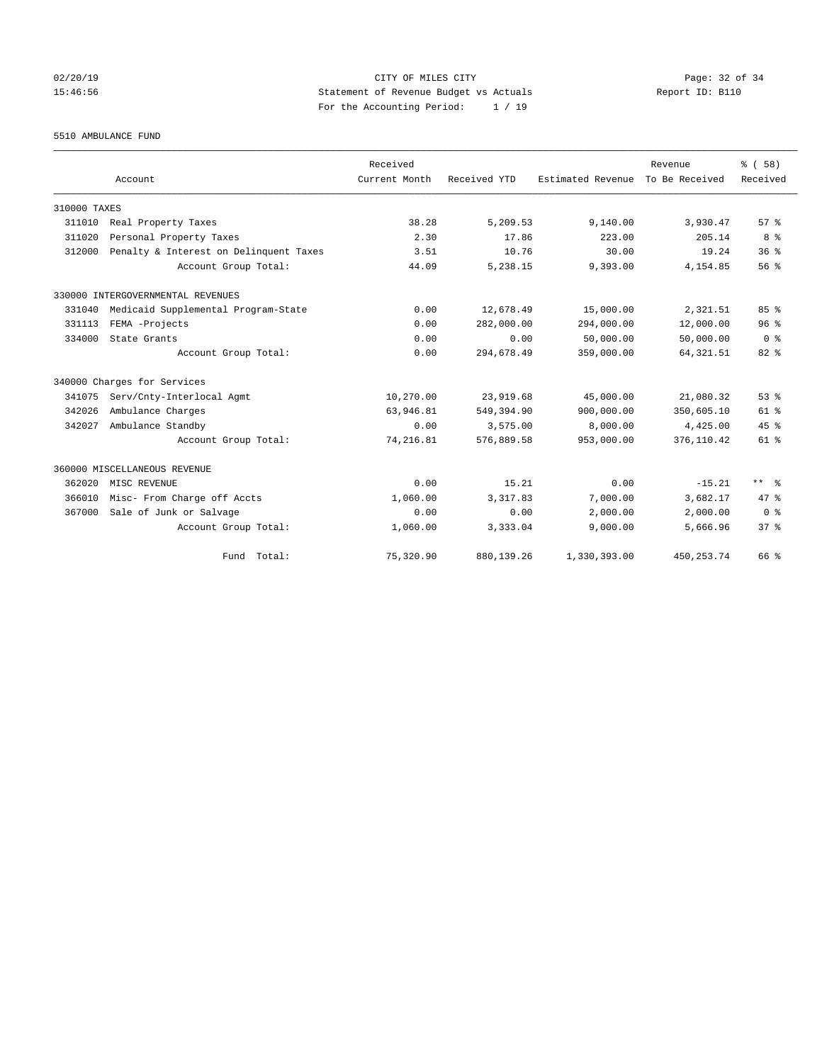02/20/19 **Page: 32 of 34** CITY OF MILES CITY **Page: 32 of 34** 15:46:56 Statement of Revenue Budget vs Actuals Report ID: B110 For the Accounting Period: 1 / 19

5510 AMBULANCE FUND

|              |                                        | Received      |              |                   | Revenue        | % (58)          |
|--------------|----------------------------------------|---------------|--------------|-------------------|----------------|-----------------|
|              | Account                                | Current Month | Received YTD | Estimated Revenue | To Be Received | Received        |
| 310000 TAXES |                                        |               |              |                   |                |                 |
| 311010       | Real Property Taxes                    | 38.28         | 5,209.53     | 9,140.00          | 3,930.47       | 57%             |
| 311020       | Personal Property Taxes                | 2.30          | 17.86        | 223.00            | 205.14         | 8 %             |
| 312000       | Penalty & Interest on Delinquent Taxes | 3.51          | 10.76        | 30.00             | 19.24          | 36%             |
|              | Account Group Total:                   | 44.09         | 5,238.15     | 9,393.00          | 4,154.85       | 56%             |
|              | 330000 INTERGOVERNMENTAL REVENUES      |               |              |                   |                |                 |
| 331040       | Medicaid Supplemental Program-State    | 0.00          | 12,678.49    | 15,000.00         | 2,321.51       | 85%             |
| 331113       | FEMA -Projects                         | 0.00          | 282,000.00   | 294,000.00        | 12,000.00      | 96%             |
| 334000       | State Grants                           | 0.00          | 0.00         | 50,000.00         | 50,000.00      | 0 <sup>8</sup>  |
|              | Account Group Total:                   | 0.00          | 294,678.49   | 359,000.00        | 64, 321.51     | $82*$           |
|              | 340000 Charges for Services            |               |              |                   |                |                 |
| 341075       | Serv/Cnty-Interlocal Agmt              | 10,270.00     | 23,919.68    | 45,000.00         | 21,080.32      | 53 <sup>8</sup> |
| 342026       | Ambulance Charges                      | 63,946.81     | 549,394.90   | 900,000.00        | 350,605.10     | 61 %            |
| 342027       | Ambulance Standby                      | 0.00          | 3,575.00     | 8,000.00          | 4,425.00       | 45%             |
|              | Account Group Total:                   | 74,216.81     | 576,889.58   | 953,000.00        | 376,110.42     | 61 %            |
|              | 360000 MISCELLANEOUS REVENUE           |               |              |                   |                |                 |
| 362020       | MISC REVENUE                           | 0.00          | 15.21        | 0.00              | $-15.21$       | $***$ $ -$      |
| 366010       | Misc- From Charge off Accts            | 1,060.00      | 3,317.83     | 7,000.00          | 3,682.17       | $47*$           |
| 367000       | Sale of Junk or Salvage                | 0.00          | 0.00         | 2,000.00          | 2,000.00       | 0 <sup>8</sup>  |
|              | Account Group Total:                   | 1,060.00      | 3,333.04     | 9,000.00          | 5,666.96       | 37 <sup>8</sup> |
|              | Fund Total:                            | 75,320.90     | 880,139.26   | 1,330,393.00      | 450, 253. 74   | 66 %            |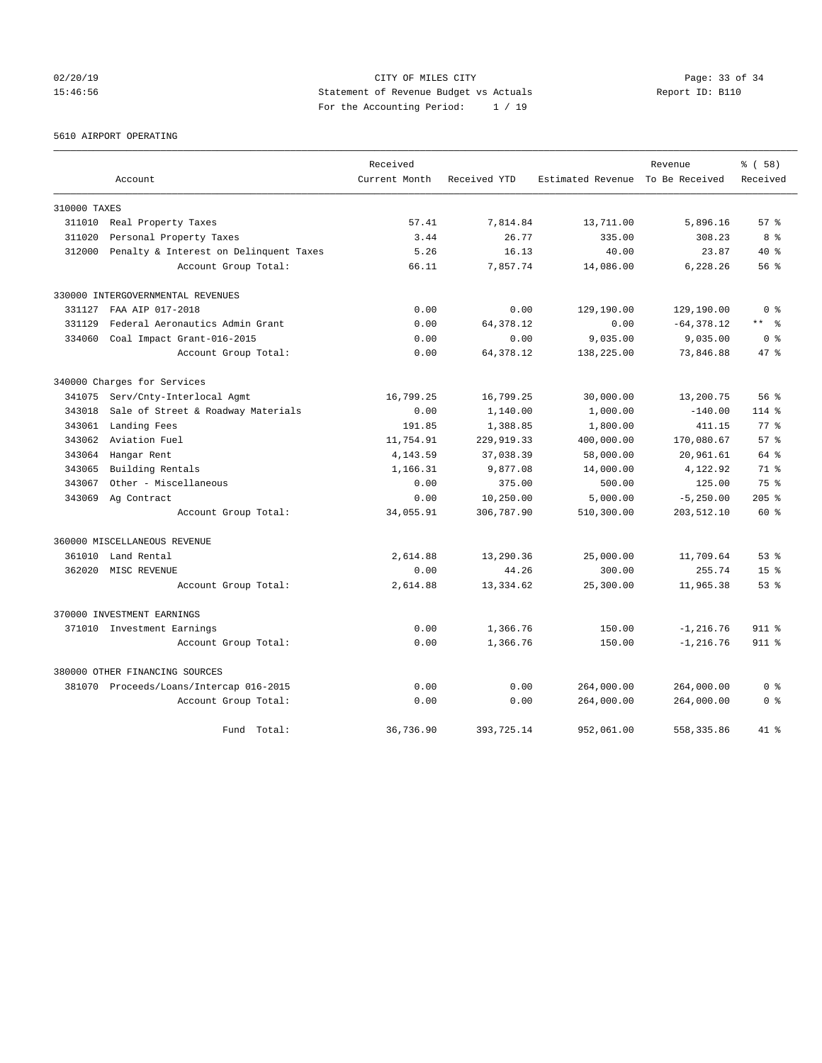02/20/19 **Page: 33 of 34** CITY OF MILES CITY **Page: 33 of 34** 15:46:56 Statement of Revenue Budget vs Actuals Report ID: B110 For the Accounting Period: 1 / 19

5610 AIRPORT OPERATING

|              |                                         | Received      |              |                                  | Revenue       | % (58)          |
|--------------|-----------------------------------------|---------------|--------------|----------------------------------|---------------|-----------------|
|              | Account                                 | Current Month | Received YTD | Estimated Revenue To Be Received |               | Received        |
| 310000 TAXES |                                         |               |              |                                  |               |                 |
| 311010       | Real Property Taxes                     | 57.41         | 7,814.84     | 13,711.00                        | 5,896.16      | 57%             |
| 311020       | Personal Property Taxes                 | 3.44          | 26.77        | 335.00                           | 308.23        | 8 %             |
| 312000       | Penalty & Interest on Delinquent Taxes  | 5.26          | 16.13        | 40.00                            | 23.87         | $40*$           |
|              | Account Group Total:                    | 66.11         | 7,857.74     | 14,086.00                        | 6,228.26      | 56 %            |
|              | 330000 INTERGOVERNMENTAL REVENUES       |               |              |                                  |               |                 |
| 331127       | FAA AIP 017-2018                        | 0.00          | 0.00         | 129,190.00                       | 129,190.00    | 0 <sup>8</sup>  |
| 331129       | Federal Aeronautics Admin Grant         | 0.00          | 64, 378.12   | 0.00                             | $-64, 378.12$ | $***$ $ -$      |
| 334060       | Coal Impact Grant-016-2015              | 0.00          | 0.00         | 9,035.00                         | 9,035.00      | 0 <sup>8</sup>  |
|              | Account Group Total:                    | 0.00          | 64, 378.12   | 138,225.00                       | 73,846.88     | 47.8            |
|              | 340000 Charges for Services             |               |              |                                  |               |                 |
| 341075       | Serv/Cnty-Interlocal Agmt               | 16,799.25     | 16,799.25    | 30,000.00                        | 13,200.75     | 56%             |
| 343018       | Sale of Street & Roadway Materials      | 0.00          | 1,140.00     | 1,000.00                         | $-140.00$     | $114$ %         |
| 343061       | Landing Fees                            | 191.85        | 1,388.85     | 1,800.00                         | 411.15        | 77.8            |
| 343062       | Aviation Fuel                           | 11,754.91     | 229, 919.33  | 400,000.00                       | 170,080.67    | 57%             |
| 343064       | Hangar Rent                             | 4, 143.59     | 37,038.39    | 58,000.00                        | 20,961.61     | 64 %            |
| 343065       | Building Rentals                        | 1,166.31      | 9,877.08     | 14,000.00                        | 4,122.92      | 71 %            |
| 343067       | Other - Miscellaneous                   | 0.00          | 375.00       | 500.00                           | 125.00        | 75 %            |
|              | 343069 Ag Contract                      | 0.00          | 10,250.00    | 5,000.00                         | $-5, 250.00$  | $205$ %         |
|              | Account Group Total:                    | 34,055.91     | 306,787.90   | 510,300.00                       | 203,512.10    | $60*$           |
|              | 360000 MISCELLANEOUS REVENUE            |               |              |                                  |               |                 |
| 361010       | Land Rental                             | 2,614.88      | 13,290.36    | 25,000.00                        | 11,709.64     | 53%             |
| 362020       | MISC REVENUE                            | 0.00          | 44.26        | 300.00                           | 255.74        | 15 <sup>8</sup> |
|              | Account Group Total:                    | 2,614.88      | 13,334.62    | 25,300.00                        | 11,965.38     | 53%             |
|              | 370000 INVESTMENT EARNINGS              |               |              |                                  |               |                 |
|              | 371010 Investment Earnings              | 0.00          | 1,366.76     | 150.00                           | $-1, 216.76$  | $911$ %         |
|              | Account Group Total:                    | 0.00          | 1,366.76     | 150.00                           | $-1, 216.76$  | 911 %           |
|              | 380000 OTHER FINANCING SOURCES          |               |              |                                  |               |                 |
|              | 381070 Proceeds/Loans/Intercap 016-2015 | 0.00          | 0.00         | 264,000.00                       | 264,000.00    | 0 <sup>8</sup>  |
|              | Account Group Total:                    | 0.00          | 0.00         | 264,000.00                       | 264,000.00    | 0 <sup>8</sup>  |
|              | Fund Total:                             | 36,736.90     | 393,725.14   | 952,061.00                       | 558, 335.86   | $41*$           |